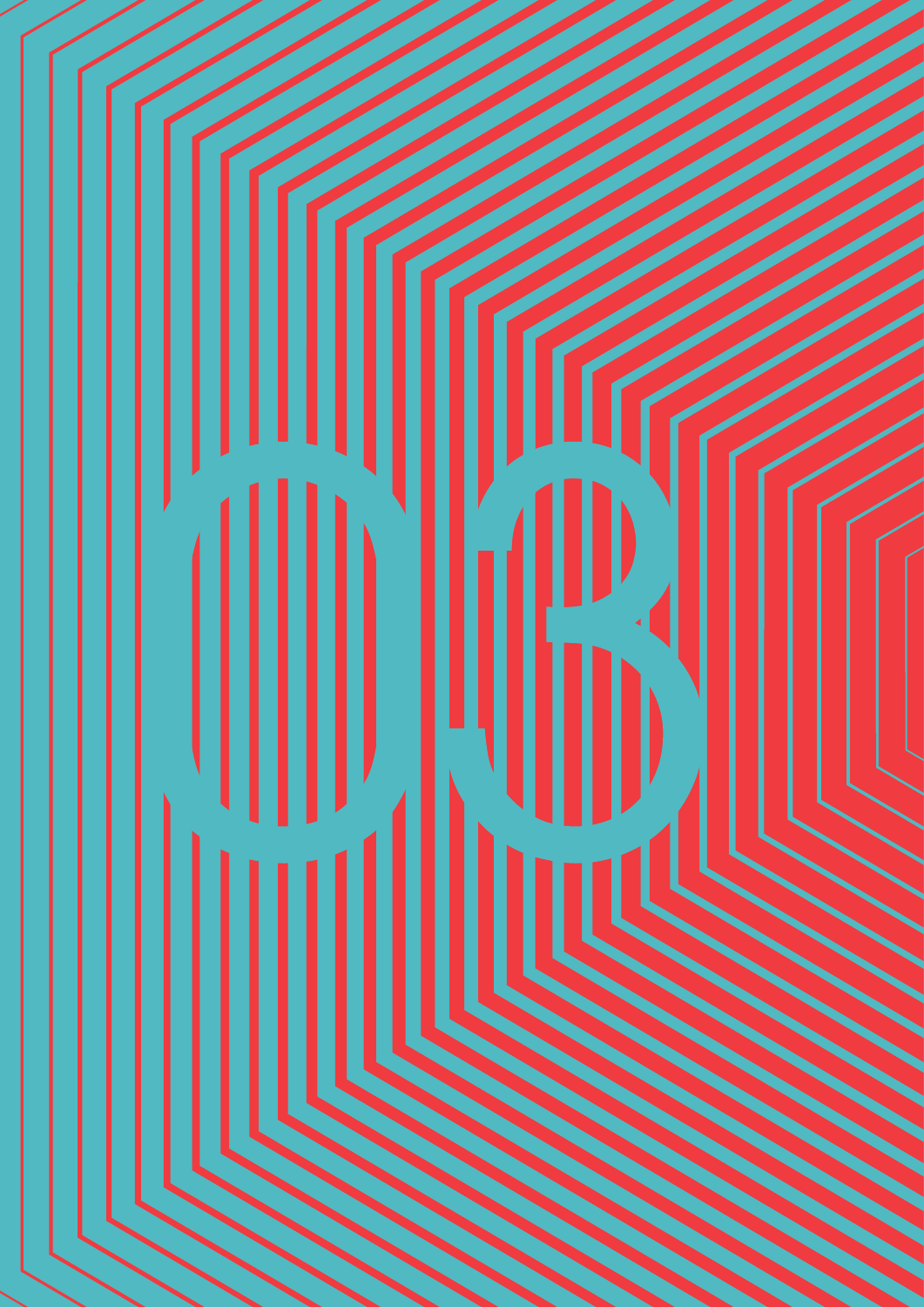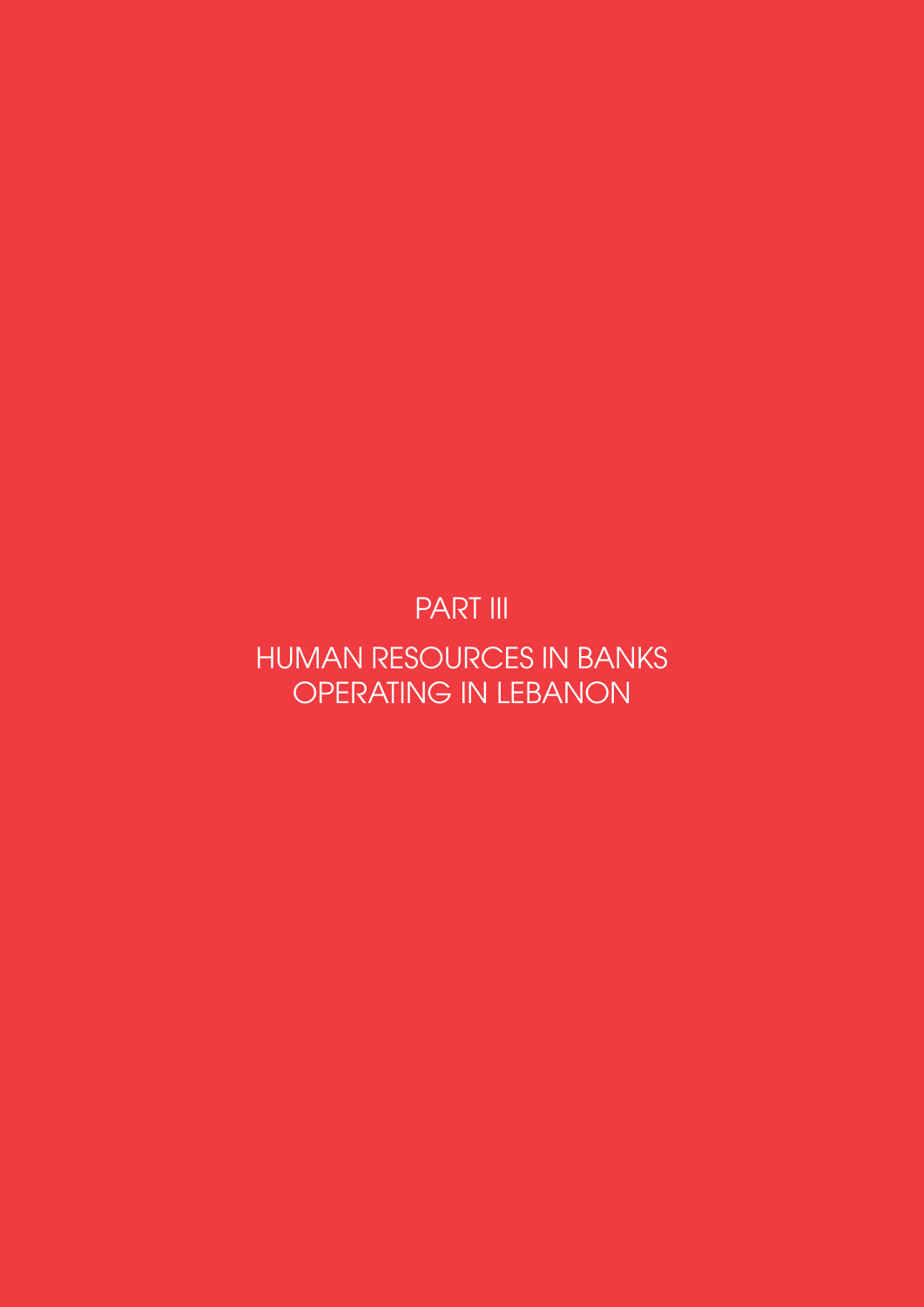PART III

HUMAN RESOURCES IN BANKS OPERATING IN LEBANON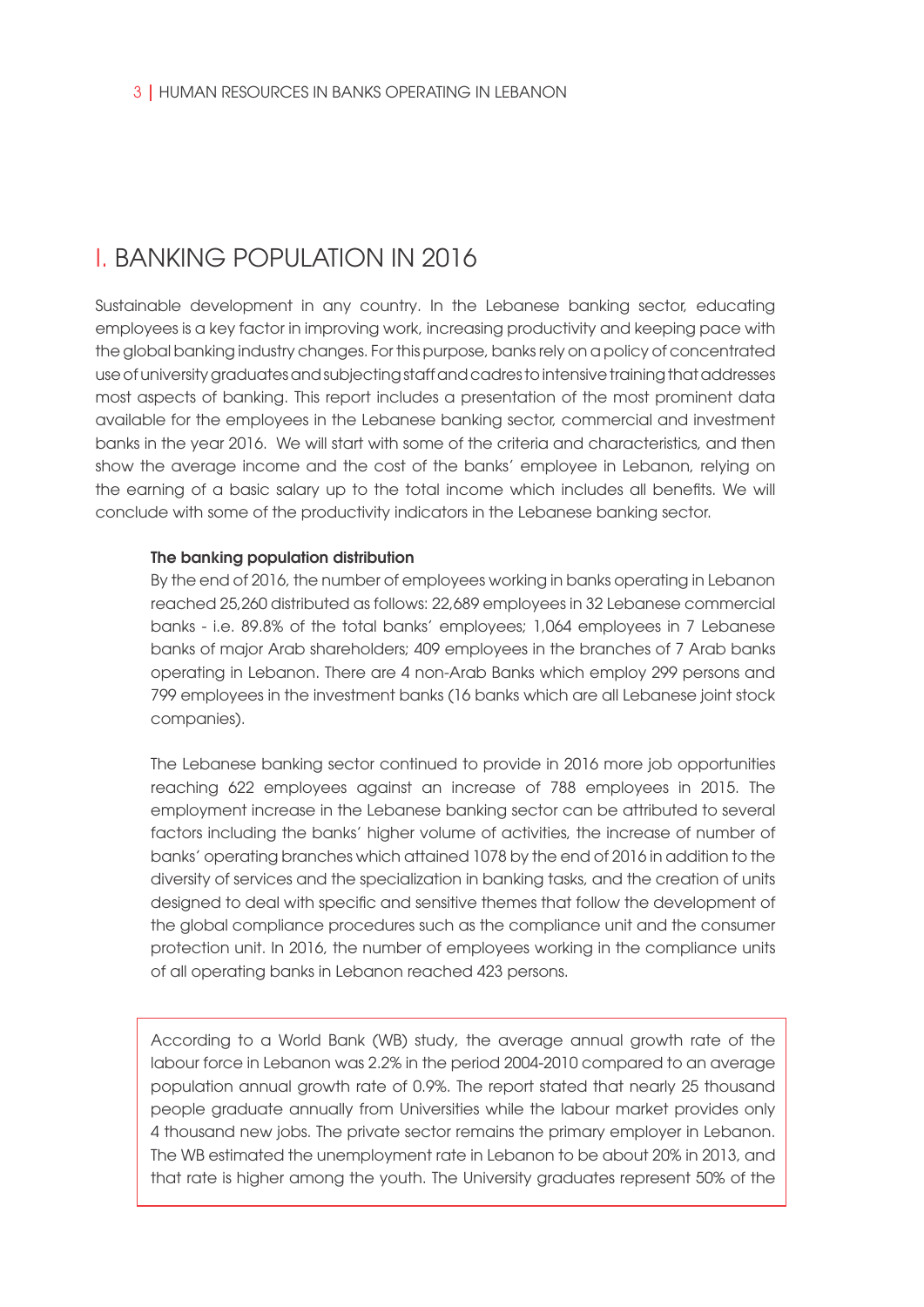# I. BANKING POPULATION IN 2016

Sustainable development in any country. In the Lebanese banking sector, educating employees is a key factor in improving work, increasing productivity and keeping pace with the global banking industry changes. For this purpose, banks rely on a policy of concentrated use of university graduates and subjecting staff and cadres to intensive training that addresses most aspects of banking. This report includes a presentation of the most prominent data available for the employees in the Lebanese banking sector, commercial and investment banks in the year 2016. We will start with some of the criteria and characteristics, and then show the average income and the cost of the banks' employee in Lebanon, relying on the earning of a basic salary up to the total income which includes all benefits. We will conclude with some of the productivity indicators in the Lebanese banking sector.

#### The banking population distribution

By the end of 2016, the number of employees working in banks operating in Lebanon reached 25,260 distributed as follows: 22,689 employees in 32 Lebanese commercial banks - i.e. 89.8% of the total banks' employees; 1,064 employees in 7 Lebanese banks of major Arab shareholders; 409 employees in the branches of 7 Arab banks operating in Lebanon. There are 4 non-Arab Banks which employ 299 persons and 799 employees in the investment banks (16 banks which are all Lebanese joint stock companies).

The Lebanese banking sector continued to provide in 2016 more job opportunities reaching 622 employees against an increase of 788 employees in 2015. The employment increase in the Lebanese banking sector can be attributed to several factors including the banks' higher volume of activities, the increase of number of banks' operating branches which attained 1078 by the end of 2016 in addition to the diversity of services and the specialization in banking tasks, and the creation of units designed to deal with specific and sensitive themes that follow the development of the global compliance procedures such as the compliance unit and the consumer protection unit. In 2016, the number of employees working in the compliance units of all operating banks in Lebanon reached 423 persons.

According to a World Bank (WB) study, the average annual growth rate of the labour force in Lebanon was 2.2% in the period 2004-2010 compared to an average population annual growth rate of 0.9%. The report stated that nearly 25 thousand people graduate annually from Universities while the labour market provides only 4 thousand new jobs. The private sector remains the primary employer in Lebanon. The WB estimated the unemployment rate in Lebanon to be about 20% in 2013, and that rate is higher among the youth. The University graduates represent 50% of the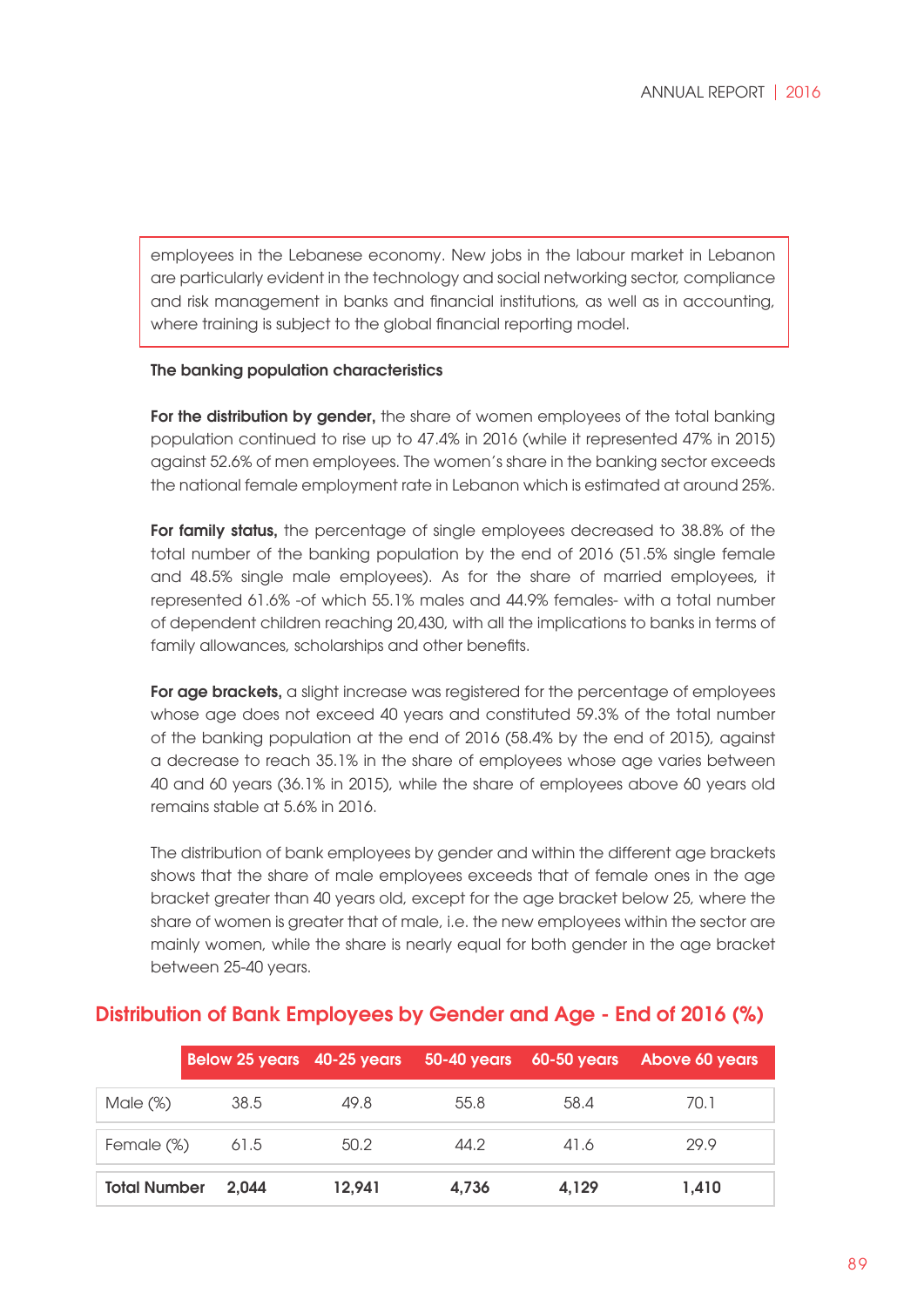employees in the Lebanese economy. New jobs in the labour market in Lebanon are particularly evident in the technology and social networking sector, compliance and risk management in banks and financial institutions, as well as in accounting, where training is subject to the global financial reporting model.

### The banking population characteristics

For the distribution by gender, the share of women employees of the total banking population continued to rise up to 47.4% in 2016 (while it represented 47% in 2015) against 52.6% of men employees. The women's share in the banking sector exceeds the national female employment rate in Lebanon which is estimated at around 25%.

For family status, the percentage of single employees decreased to 38.8% of the total number of the banking population by the end of 2016 (51.5% single female and 48.5% single male employees). As for the share of married employees, it represented 61.6% -of which 55.1% males and 44.9% females- with a total number of dependent children reaching 20,430, with all the implications to banks in terms of family allowances, scholarships and other benefits.

For age brackets, a slight increase was registered for the percentage of employees whose age does not exceed 40 years and constituted 59.3% of the total number of the banking population at the end of 2016 (58.4% by the end of 2015), against a decrease to reach 35.1% in the share of employees whose age varies between 40 and 60 years (36.1% in 2015), while the share of employees above 60 years old remains stable at 5.6% in 2016.

The distribution of bank employees by gender and within the different age brackets shows that the share of male employees exceeds that of female ones in the age bracket greater than 40 years old, except for the age bracket below 25, where the share of women is greater that of male, i.e. the new employees within the sector are mainly women, while the share is nearly equal for both gender in the age bracket between 25-40 years.

### Distribution of Bank Employees by Gender and Age - End of 2016 (%)

|                     |       |        |       |       | Below 25 years 40-25 years 50-40 years 60-50 years Above 60 years |
|---------------------|-------|--------|-------|-------|-------------------------------------------------------------------|
| Male $(\%)$         | 38.5  | 49.8   | 55.8  | 58.4  | 70.1                                                              |
| Female (%)          | 61.5  | 50.2   | 44.2  | 41.6  | 29.9                                                              |
| <b>Total Number</b> | 2.044 | 12.941 | 4.736 | 4.129 | 1.410                                                             |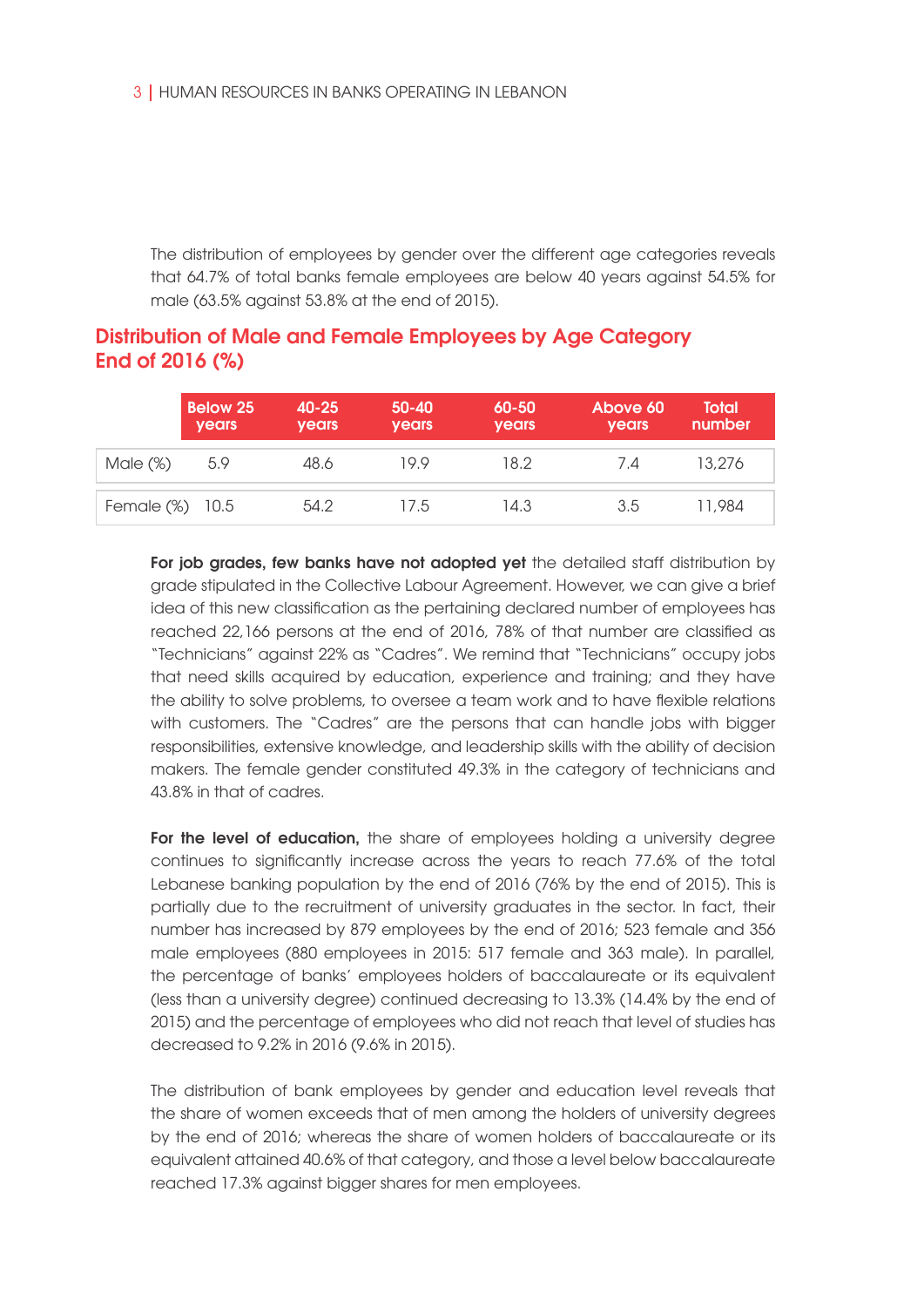The distribution of employees by gender over the different age categories reveals that 64.7% of total banks female employees are below 40 years against 54.5% for male (63.5% against 53.8% at the end of 2015).

### Distribution of Male and Female Employees by Age Category End of 2016 (%)

|                 | <b>Below 25</b><br><b>years</b> | $40 - 25$<br><b>years</b> | $50 - 40$<br><b>years</b> | $60 - 50$<br><b>years</b> | Above 60<br><b>years</b> | <b>Total</b><br>number |
|-----------------|---------------------------------|---------------------------|---------------------------|---------------------------|--------------------------|------------------------|
| Male $(\%)$     | 5.9                             | 48.6                      | 19.9                      | 18.2                      | 7.4                      | 13.276                 |
| Female (%) 10.5 |                                 | 54.2                      | 17.5                      | 14.3                      | 3.5                      | 11,984                 |

For job grades, few banks have not adopted yet the detailed staff distribution by grade stipulated in the Collective Labour Agreement. However, we can give a brief idea of this new classification as the pertaining declared number of employees has reached 22,166 persons at the end of 2016, 78% of that number are classified as "Technicians" against 22% as "Cadres". We remind that "Technicians" occupy jobs that need skills acquired by education, experience and training; and they have the ability to solve problems, to oversee a team work and to have flexible relations with customers. The "Cadres" are the persons that can handle jobs with bigger responsibilities, extensive knowledge, and leadership skills with the ability of decision makers. The female gender constituted 49.3% in the category of technicians and 43.8% in that of cadres.

For the level of education, the share of employees holding a university degree continues to significantly increase across the years to reach 77.6% of the total Lebanese banking population by the end of 2016 (76% by the end of 2015). This is partially due to the recruitment of university graduates in the sector. In fact, their number has increased by 879 employees by the end of 2016; 523 female and 356 male employees (880 employees in 2015: 517 female and 363 male). In parallel, the percentage of banks' employees holders of baccalaureate or its equivalent (less than a university degree) continued decreasing to 13.3% (14.4% by the end of 2015) and the percentage of employees who did not reach that level of studies has decreased to 9.2% in 2016 (9.6% in 2015).

The distribution of bank employees by gender and education level reveals that the share of women exceeds that of men among the holders of university degrees by the end of 2016; whereas the share of women holders of baccalaureate or its equivalent attained 40.6% of that category, and those a level below baccalaureate reached 17.3% against bigger shares for men employees.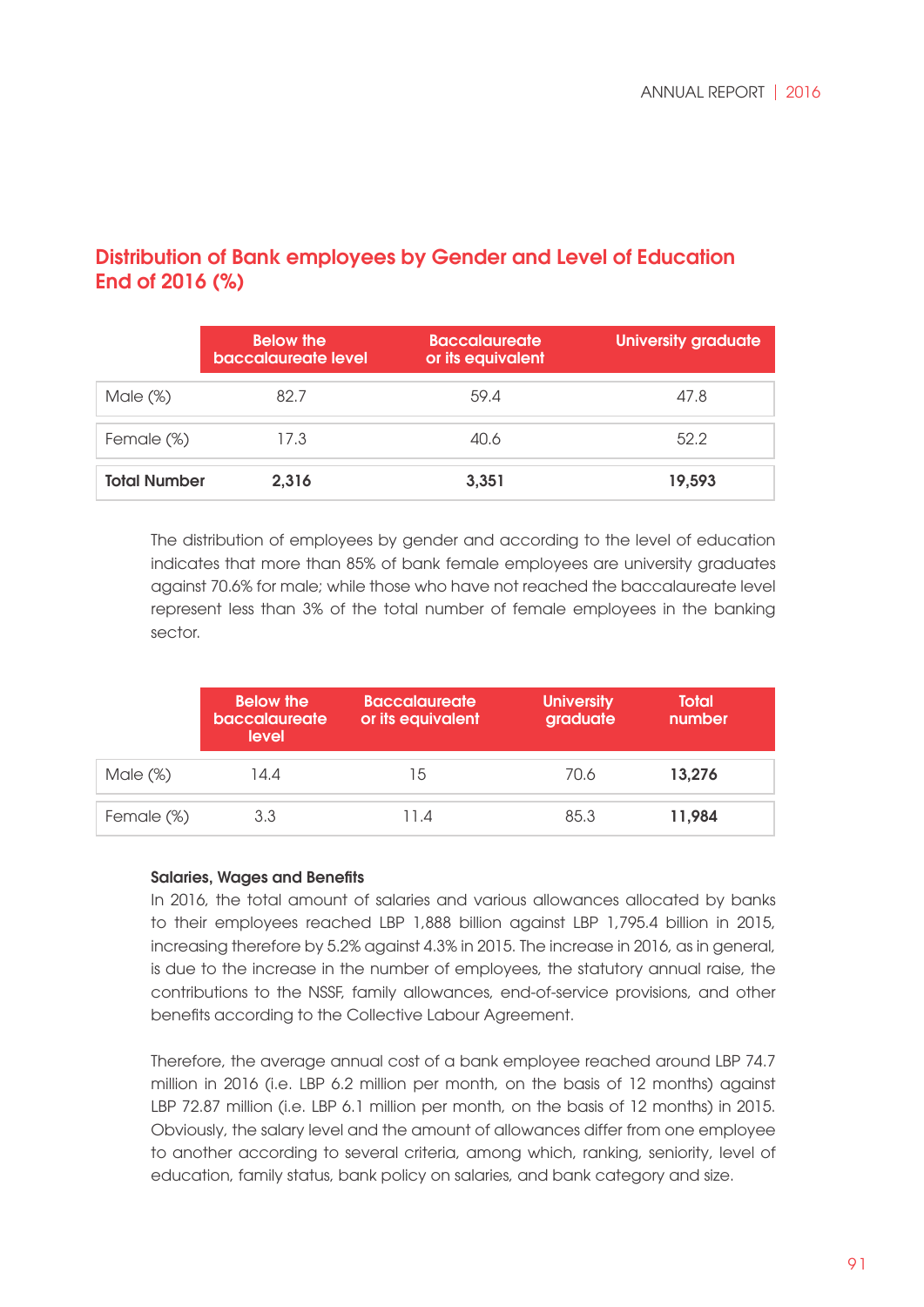|                     | <b>Below the</b><br>baccalaureate level | <b>Baccalaureate</b><br>or its equivalent | <b>University graduate</b> |
|---------------------|-----------------------------------------|-------------------------------------------|----------------------------|
| Male $(\%)$         | 82.7                                    | 59.4                                      | 47.8                       |
| Female (%)          | 17.3                                    | 40.6                                      | 52.2                       |
| <b>Total Number</b> | 2,316                                   | 3,351                                     | 19,593                     |

### Distribution of Bank employees by Gender and Level of Education End of 2016 (%)

The distribution of employees by gender and according to the level of education indicates that more than 85% of bank female employees are university graduates against 70.6% for male; while those who have not reached the baccalaureate level represent less than 3% of the total number of female employees in the banking sector.

|             | <b>Below the</b><br>baccalaureate<br>level | <b>Baccalaureate</b><br>or its equivalent | <b>University</b><br>graduate | <b>Total</b><br>number |
|-------------|--------------------------------------------|-------------------------------------------|-------------------------------|------------------------|
| Male $(\%)$ | 14.4                                       | 15                                        | 70.6                          | 13,276                 |
| Female (%)  | 3.3                                        | 11.4                                      | 85.3                          | 11,984                 |

### Salaries, Wages and Benefits

In 2016, the total amount of salaries and various allowances allocated by banks to their employees reached LBP 1,888 billion against LBP 1,795.4 billion in 2015, increasing therefore by 5.2% against 4.3% in 2015. The increase in 2016, as in general, is due to the increase in the number of employees, the statutory annual raise, the contributions to the NSSF, family allowances, end-of-service provisions, and other benefits according to the Collective Labour Agreement.

Therefore, the average annual cost of a bank employee reached around LBP 74.7 million in 2016 (i.e. LBP 6.2 million per month, on the basis of 12 months) against LBP 72.87 million (i.e. LBP 6.1 million per month, on the basis of 12 months) in 2015. Obviously, the salary level and the amount of allowances differ from one employee to another according to several criteria, among which, ranking, seniority, level of education, family status, bank policy on salaries, and bank category and size.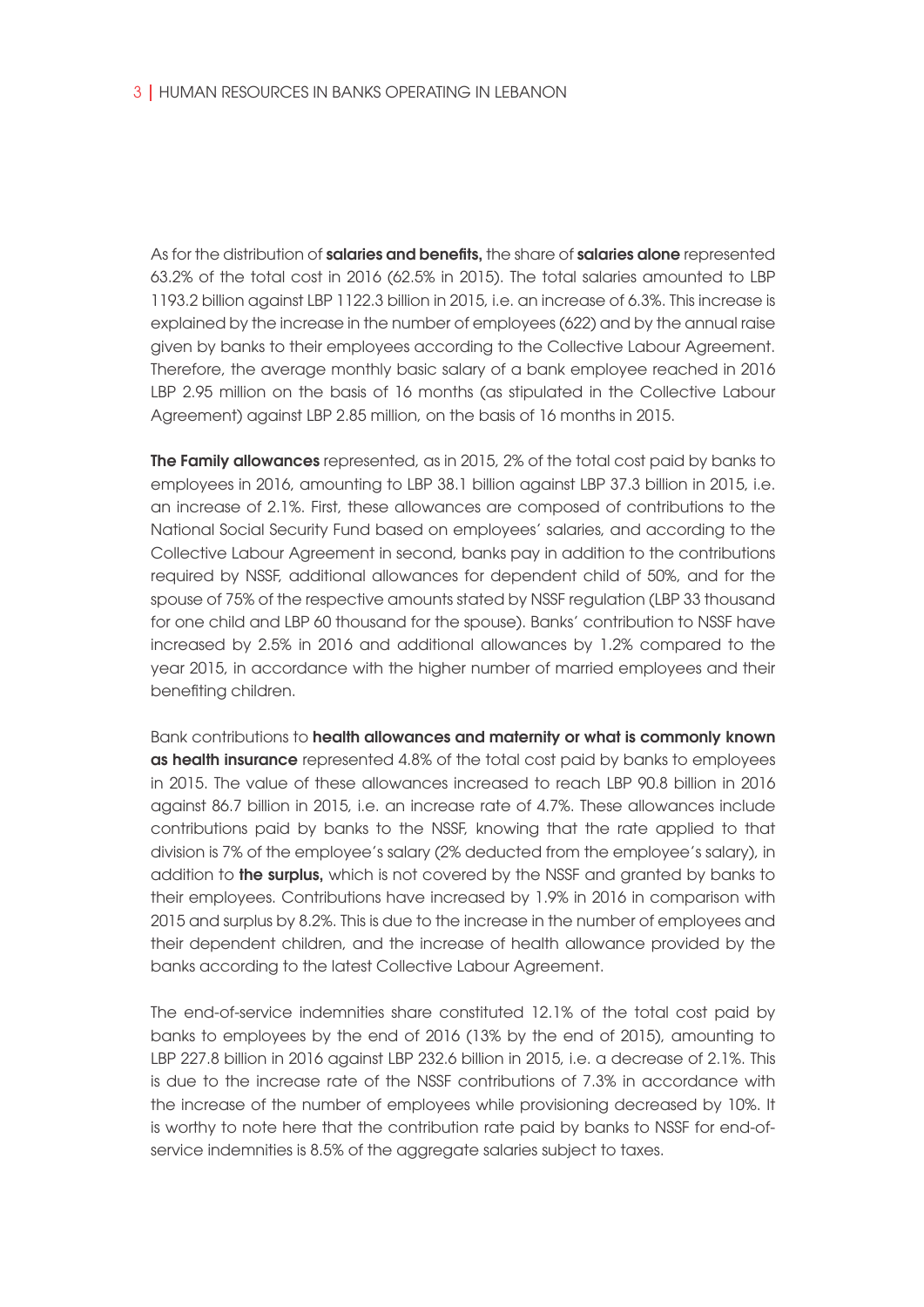As for the distribution of salaries and benefits, the share of salaries alone represented 63.2% of the total cost in 2016 (62.5% in 2015). The total salaries amounted to LBP 1193.2 billion against LBP 1122.3 billion in 2015, i.e. an increase of 6.3%. This increase is explained by the increase in the number of employees (622) and by the annual raise given by banks to their employees according to the Collective Labour Agreement. Therefore, the average monthly basic salary of a bank employee reached in 2016 LBP 2.95 million on the basis of 16 months (as stipulated in the Collective Labour Agreement) against LBP 2.85 million, on the basis of 16 months in 2015.

**The Family allowances** represented, as in 2015, 2% of the total cost paid by banks to employees in 2016, amounting to LBP 38.1 billion against LBP 37.3 billion in 2015, i.e. an increase of 2.1%. First, these allowances are composed of contributions to the National Social Security Fund based on employees' salaries, and according to the Collective Labour Agreement in second, banks pay in addition to the contributions required by NSSF, additional allowances for dependent child of 50%, and for the spouse of 75% of the respective amounts stated by NSSF regulation (LBP 33 thousand for one child and LBP 60 thousand for the spouse). Banks' contribution to NSSF have increased by 2.5% in 2016 and additional allowances by 1.2% compared to the year 2015, in accordance with the higher number of married employees and their benefiting children.

Bank contributions to health allowances and maternity or what is commonly known as health insurance represented 4.8% of the total cost paid by banks to employees in 2015. The value of these allowances increased to reach LBP 90.8 billion in 2016 against 86.7 billion in 2015, i.e. an increase rate of 4.7%. These allowances include contributions paid by banks to the NSSF, knowing that the rate applied to that division is 7% of the employee's salary (2% deducted from the employee's salary), in addition to the surplus, which is not covered by the NSSF and granted by banks to their employees. Contributions have increased by 1.9% in 2016 in comparison with 2015 and surplus by 8.2%. This is due to the increase in the number of employees and their dependent children, and the increase of health allowance provided by the banks according to the latest Collective Labour Agreement.

The end-of-service indemnities share constituted 12.1% of the total cost paid by banks to employees by the end of 2016 (13% by the end of 2015), amounting to LBP 227.8 billion in 2016 against LBP 232.6 billion in 2015, i.e. a decrease of 2.1%. This is due to the increase rate of the NSSF contributions of 7.3% in accordance with the increase of the number of employees while provisioning decreased by 10%. It is worthy to note here that the contribution rate paid by banks to NSSF for end-ofservice indemnities is 8.5% of the aggregate salaries subject to taxes.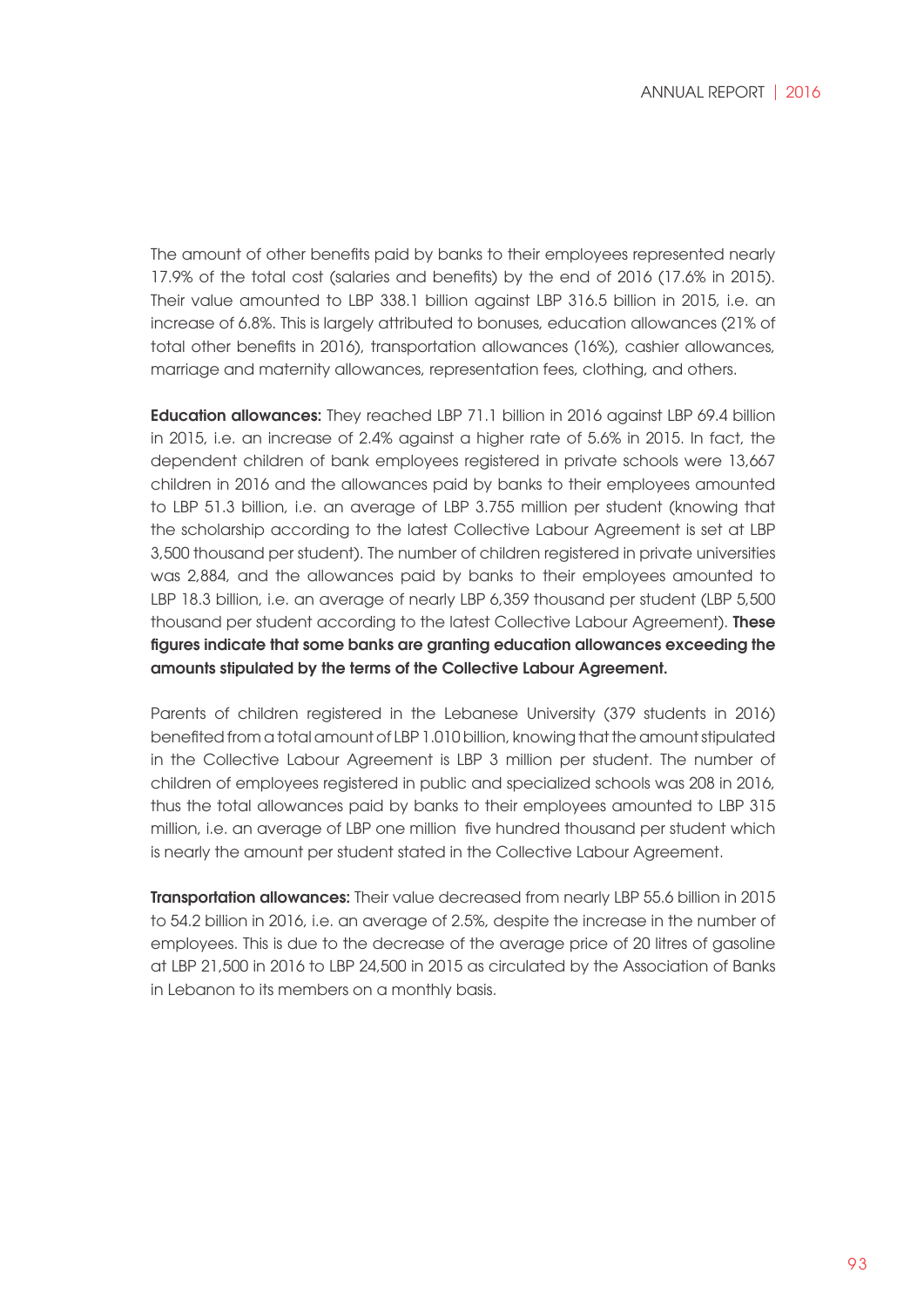The amount of other benefits paid by banks to their employees represented nearly 17.9% of the total cost (salaries and benefits) by the end of 2016 (17.6% in 2015). Their value amounted to LBP 338.1 billion against LBP 316.5 billion in 2015, i.e. an increase of 6.8%. This is largely attributed to bonuses, education allowances (21% of total other benefits in 2016), transportation allowances (16%), cashier allowances, marriage and maternity allowances, representation fees, clothing, and others.

Education allowances: They reached LBP 71.1 billion in 2016 against LBP 69.4 billion in 2015, i.e. an increase of 2.4% against a higher rate of 5.6% in 2015. In fact, the dependent children of bank employees registered in private schools were 13,667 children in 2016 and the allowances paid by banks to their employees amounted to LBP 51.3 billion, i.e. an average of LBP 3.755 million per student (knowing that the scholarship according to the latest Collective Labour Agreement is set at LBP 3,500 thousand per student). The number of children registered in private universities was 2,884, and the allowances paid by banks to their employees amounted to LBP 18.3 billion, i.e. an average of nearly LBP 6,359 thousand per student (LBP 5,500 thousand per student according to the latest Collective Labour Agreement). **These** figures indicate that some banks are granting education allowances exceeding the amounts stipulated by the terms of the Collective Labour Agreement.

Parents of children registered in the Lebanese University (379 students in 2016) benefited from a total amount of LBP 1.010 billion, knowing that the amount stipulated in the Collective Labour Agreement is LBP 3 million per student. The number of children of employees registered in public and specialized schools was 208 in 2016, thus the total allowances paid by banks to their employees amounted to LBP 315 million, i.e. an average of LBP one million five hundred thousand per student which is nearly the amount per student stated in the Collective Labour Agreement.

**Transportation allowances:** Their value decreased from nearly LBP 55.6 billion in 2015 to 54.2 billion in 2016, i.e. an average of 2.5%, despite the increase in the number of employees. This is due to the decrease of the average price of 20 litres of gasoline at LBP 21,500 in 2016 to LBP 24,500 in 2015 as circulated by the Association of Banks in Lebanon to its members on a monthly basis.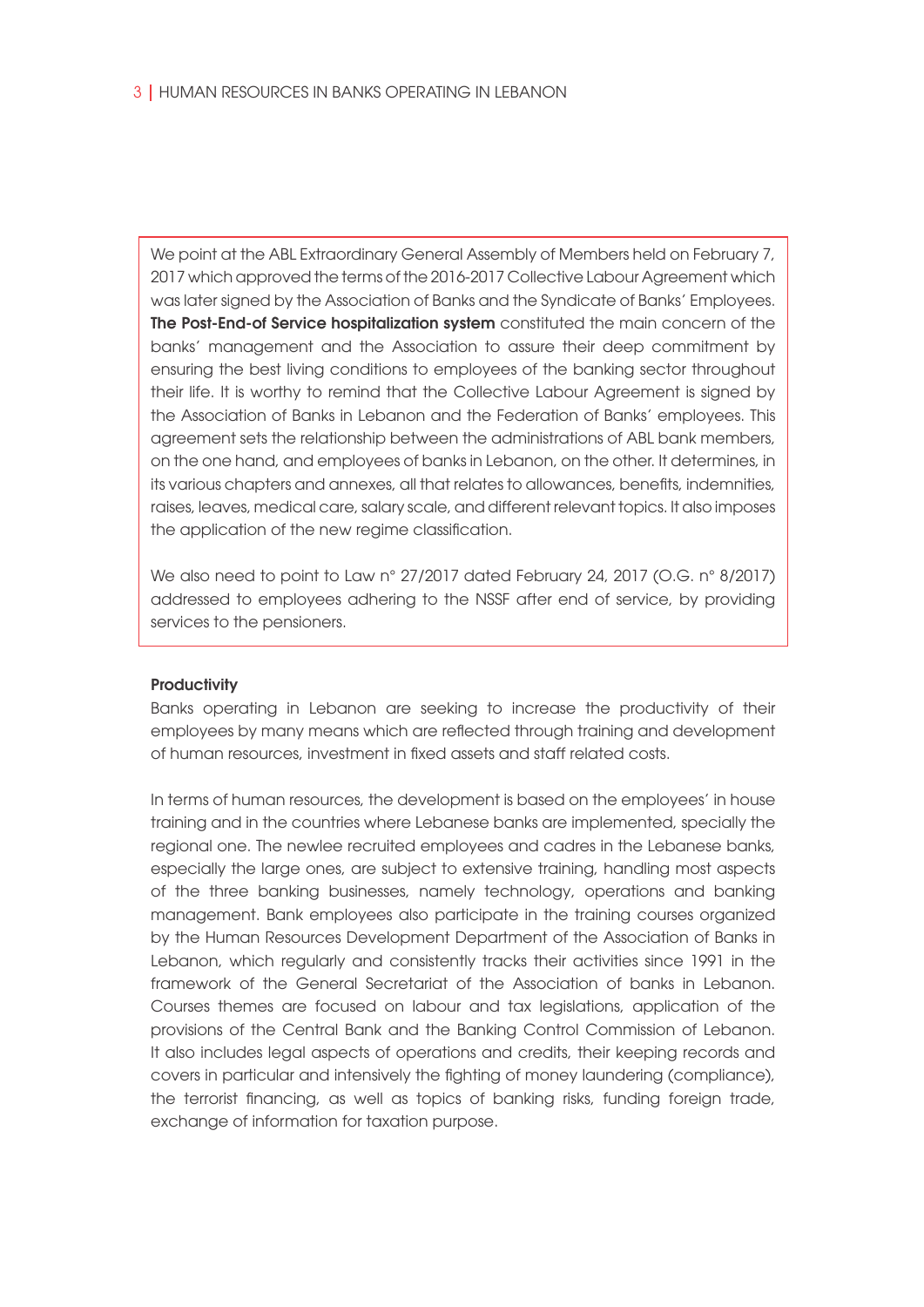We point at the ABL Extraordinary General Assembly of Members held on February 7, 2017 which approved the terms of the 2016-2017 Collective Labour Agreement which was later signed by the Association of Banks and the Syndicate of Banks' Employees. The Post-End-of Service hospitalization system constituted the main concern of the banks' management and the Association to assure their deep commitment by ensuring the best living conditions to employees of the banking sector throughout their life. It is worthy to remind that the Collective Labour Agreement is signed by the Association of Banks in Lebanon and the Federation of Banks' employees. This agreement sets the relationship between the administrations of ABL bank members, on the one hand, and employees of banks in Lebanon, on the other. It determines, in its various chapters and annexes, all that relates to allowances, benefits, indemnities, raises, leaves, medical care, salary scale, and different relevant topics. It also imposes the application of the new regime classification.

We also need to point to Law n° 27/2017 dated February 24, 2017 (O.G. n° 8/2017) addressed to employees adhering to the NSSF after end of service, by providing services to the pensioners.

#### **Productivity**

Banks operating in Lebanon are seeking to increase the productivity of their employees by many means which are reflected through training and development of human resources, investment in fixed assets and staff related costs.

In terms of human resources, the development is based on the employees' in house training and in the countries where Lebanese banks are implemented, specially the regional one. The newlee recruited employees and cadres in the Lebanese banks, especially the large ones, are subject to extensive training, handling most aspects of the three banking businesses, namely technology, operations and banking management. Bank employees also participate in the training courses organized by the Human Resources Development Department of the Association of Banks in Lebanon, which regularly and consistently tracks their activities since 1991 in the framework of the General Secretariat of the Association of banks in Lebanon. Courses themes are focused on labour and tax legislations, application of the provisions of the Central Bank and the Banking Control Commission of Lebanon. It also includes legal aspects of operations and credits, their keeping records and covers in particular and intensively the fighting of money laundering (compliance), the terrorist financing, as well as topics of banking risks, funding foreign trade, exchange of information for taxation purpose.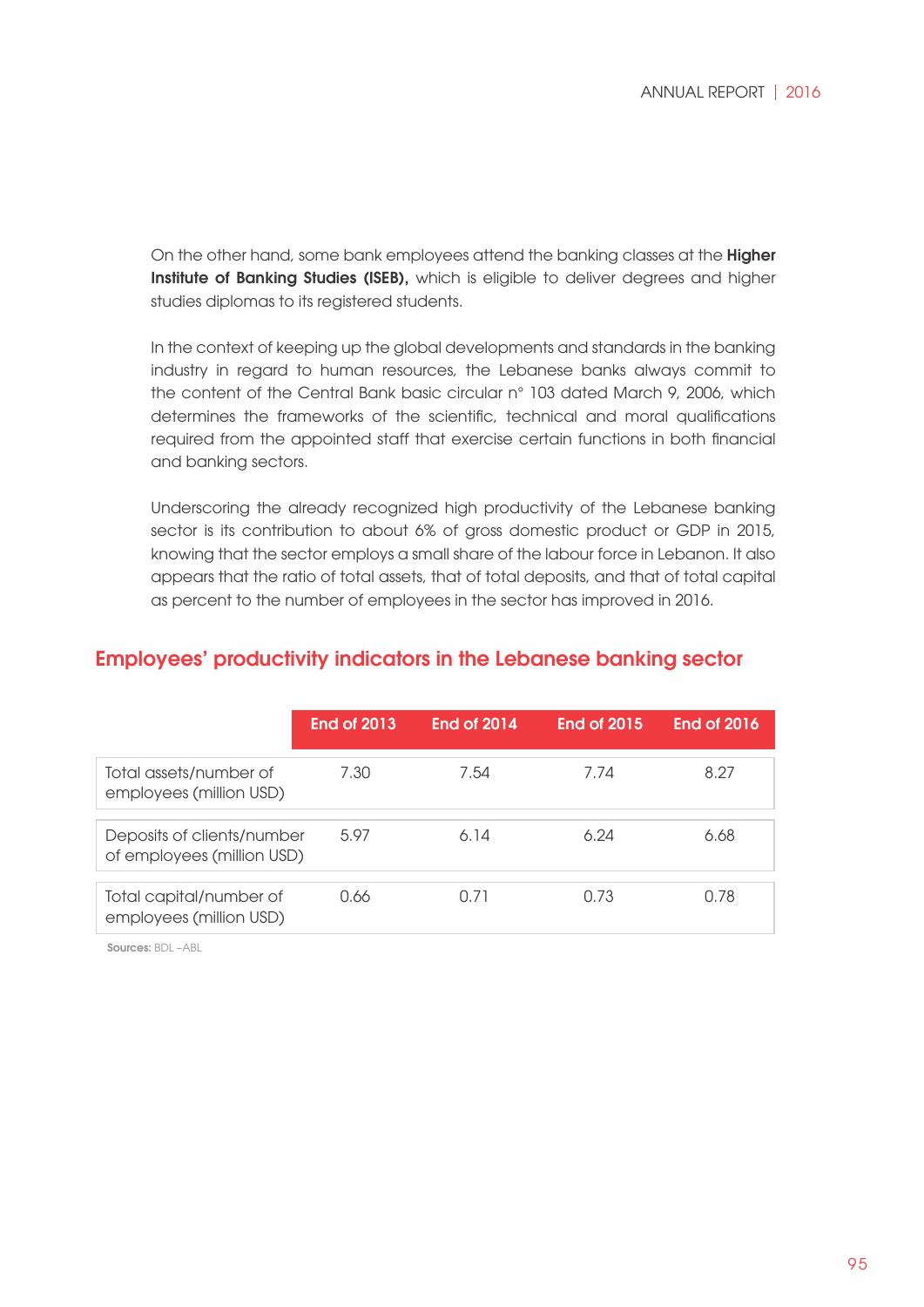On the other hand, some bank employees attend the banking classes at the Higher Institute of Banking Studies (ISEB), which is eligible to deliver degrees and higher studies diplomas to its registered students.

In the context of keeping up the global developments and standards in the banking industry in regard to human resources, the Lebanese banks always commit to the content of the Central Bank basic circular n° 103 dated March 9, 2006, which determines the frameworks of the scientific, technical and moral qualifications required from the appointed staff that exercise certain functions in both financial and banking sectors.

Underscoring the already recognized high productivity of the Lebanese banking sector is its contribution to about 6% of gross domestic product or GDP in 2015, knowing that the sector employs a small share of the labour force in Lebanon. It also appears that the ratio of total assets, that of total deposits, and that of total capital as percent to the number of employees in the sector has improved in 2016.

|                                                          | <b>End of 2013</b> | <b>End of 2014</b> | End of 2015 | <b>End of 2016</b> |
|----------------------------------------------------------|--------------------|--------------------|-------------|--------------------|
| Total assets/number of<br>employees (million USD)        | 7.30               | 7.54               | 7.74        | 8.27               |
| Deposits of clients/number<br>of employees (million USD) | 5.97               | 6.14               | 6.24        | 6.68               |
| Total capital/number of<br>employees (million USD)       | 0.66               | 0.71               | 0.73        | 0.78               |

### Employees' productivity indicators in the Lebanese banking sector

Sources: BDL –ABL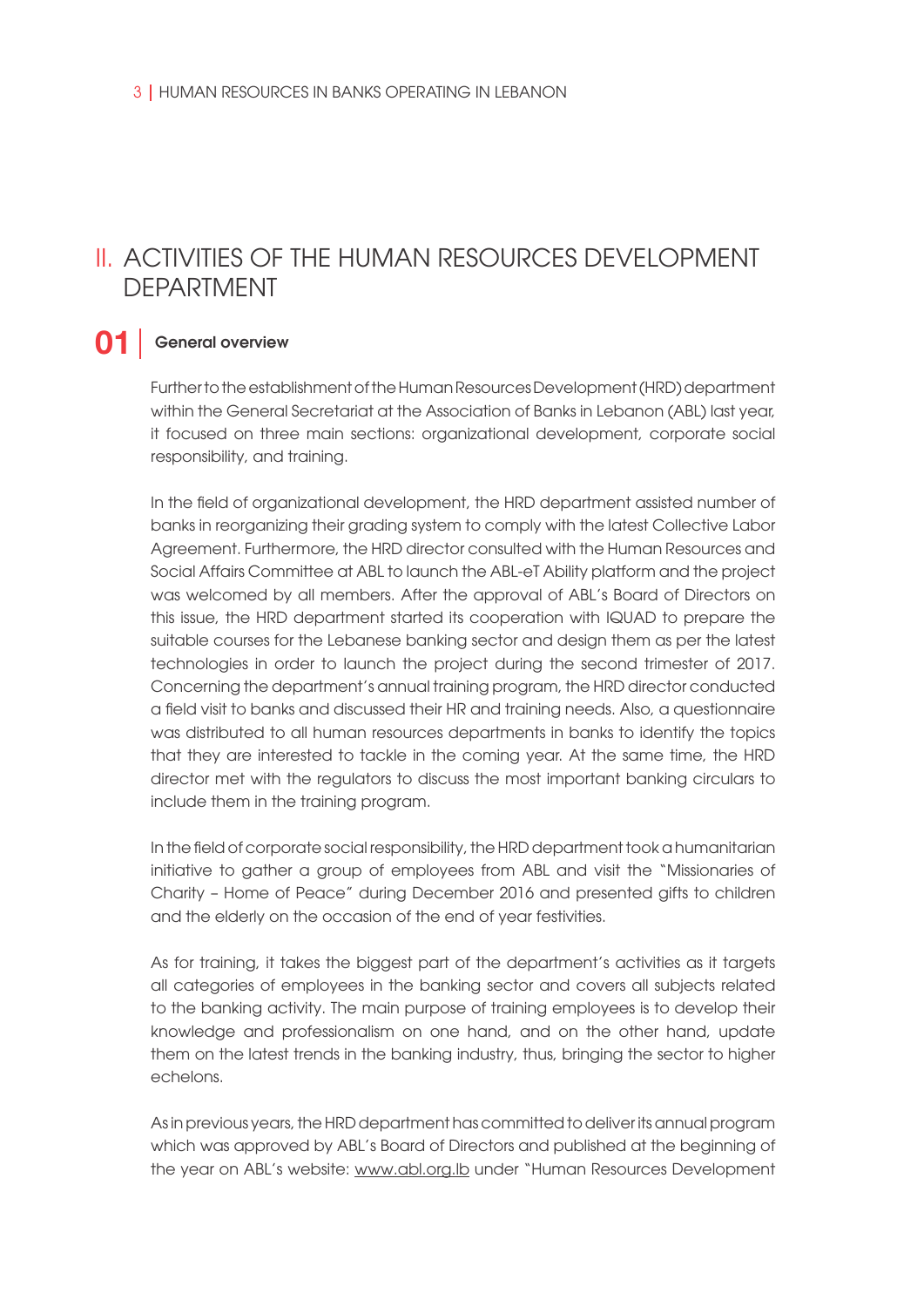## II. ACTIVITIES OF THE HUMAN RESOURCES DEVELOPMENT DEPARTMENT

#### General overview **01**

Further to the establishment of the Human Resources Development (HRD) department within the General Secretariat at the Association of Banks in Lebanon (ABL) last year, it focused on three main sections: organizational development, corporate social responsibility, and training.

In the field of organizational development, the HRD department assisted number of banks in reorganizing their grading system to comply with the latest Collective Labor Agreement. Furthermore, the HRD director consulted with the Human Resources and Social Affairs Committee at ABL to launch the ABL-eT Ability platform and the project was welcomed by all members. After the approval of ABL's Board of Directors on this issue, the HRD department started its cooperation with IQUAD to prepare the suitable courses for the Lebanese banking sector and design them as per the latest technologies in order to launch the project during the second trimester of 2017. Concerning the department's annual training program, the HRD director conducted a field visit to banks and discussed their HR and training needs. Also, a questionnaire was distributed to all human resources departments in banks to identify the topics that they are interested to tackle in the coming year. At the same time, the HRD director met with the regulators to discuss the most important banking circulars to include them in the training program.

In the field of corporate social responsibility, the HRD department took a humanitarian initiative to gather a group of employees from ABL and visit the "Missionaries of Charity – Home of Peace" during December 2016 and presented gifts to children and the elderly on the occasion of the end of year festivities.

As for training, it takes the biggest part of the department's activities as it targets all categories of employees in the banking sector and covers all subjects related to the banking activity. The main purpose of training employees is to develop their knowledge and professionalism on one hand, and on the other hand, update them on the latest trends in the banking industry, thus, bringing the sector to higher echelons.

As in previous years, the HRD department has committed to deliver its annual program which was approved by ABL's Board of Directors and published at the beginning of the year on ABL's website: www.abl.org.lb under "Human Resources Development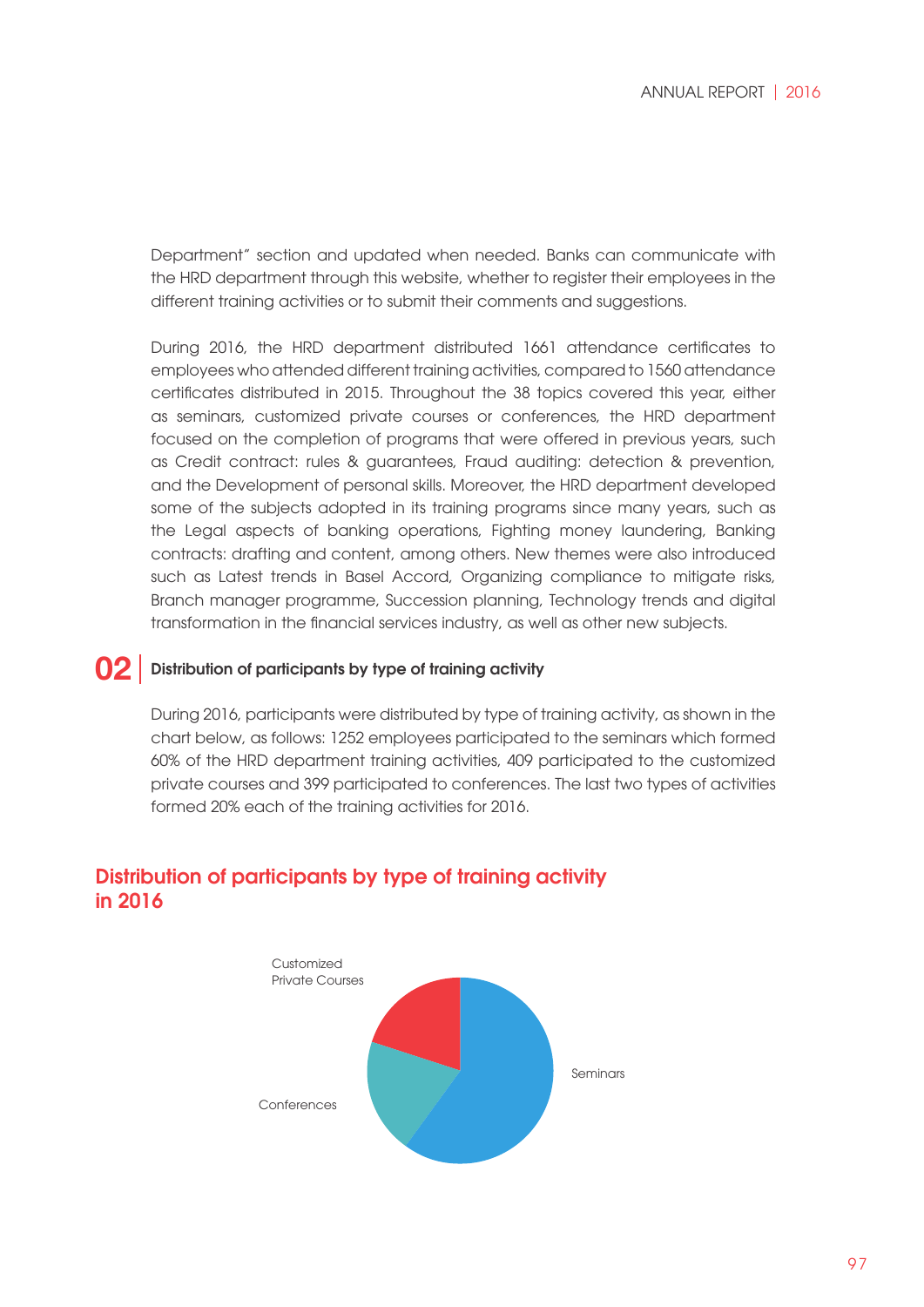Department" section and updated when needed. Banks can communicate with the HRD department through this website, whether to register their employees in the different training activities or to submit their comments and suggestions.

During 2016, the HRD department distributed 1661 attendance certificates to employees who attended different training activities, compared to 1560 attendance certificates distributed in 2015. Throughout the 38 topics covered this year, either as seminars, customized private courses or conferences, the HRD department focused on the completion of programs that were offered in previous years, such as Credit contract: rules & guarantees, Fraud auditing: detection & prevention, and the Development of personal skills. Moreover, the HRD department developed some of the subjects adopted in its training programs since many years, such as the Legal aspects of banking operations, Fighting money laundering, Banking contracts: drafting and content, among others. New themes were also introduced such as Latest trends in Basel Accord, Organizing compliance to mitigate risks, Branch manager programme, Succession planning, Technology trends and digital transformation in the financial services industry, as well as other new subjects.

#### Distribution of participants by type of training activity **02**

During 2016, participants were distributed by type of training activity, as shown in the chart below, as follows: 1252 employees participated to the seminars which formed 60% of the HRD department training activities, 409 participated to the customized private courses and 399 participated to conferences. The last two types of activities formed 20% each of the training activities for 2016.



## Distribution of participants by type of training activity in 2016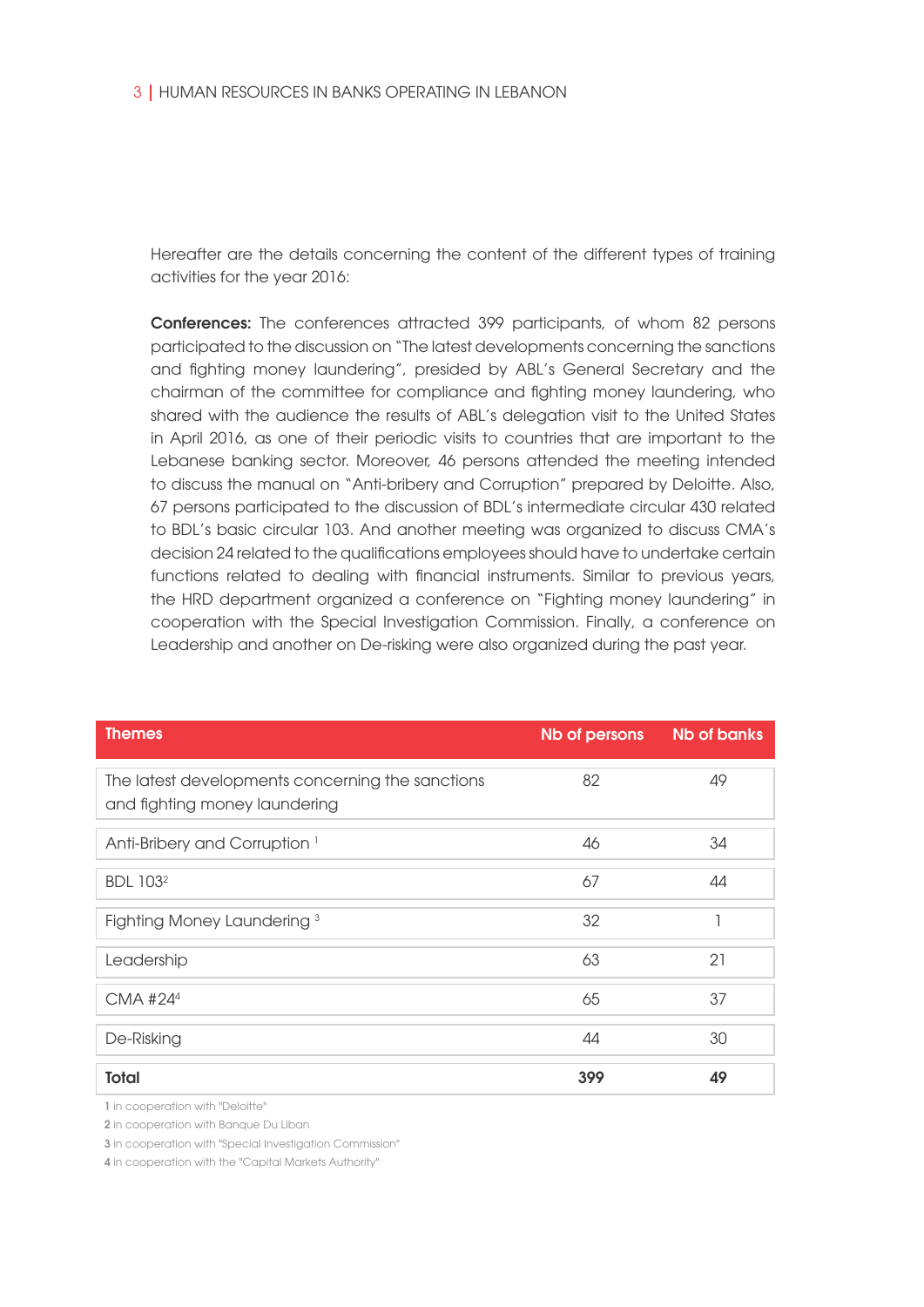Hereafter are the details concerning the content of the different types of training activities for the year 2016:

Conferences: The conferences attracted 399 participants, of whom 82 persons participated to the discussion on "The latest developments concerning the sanctions and fighting money laundering", presided by ABL's General Secretary and the chairman of the committee for compliance and fighting money laundering, who shared with the audience the results of ABL's delegation visit to the United States in April 2016, as one of their periodic visits to countries that are important to the Lebanese banking sector. Moreover, 46 persons attended the meeting intended to discuss the manual on "Anti-bribery and Corruption" prepared by Deloitte. Also, 67 persons participated to the discussion of BDL's intermediate circular 430 related to BDL's basic circular 103. And another meeting was organized to discuss CMA's decision 24 related to the qualifications employees should have to undertake certain functions related to dealing with financial instruments. Similar to previous years, the HRD department organized a conference on "Fighting money laundering" in cooperation with the Special Investigation Commission. Finally, a conference on Leadership and another on De-risking were also organized during the past year.

| <b>Themes</b>                                                                     | Nb of persons | <b>Nb of banks</b> |
|-----------------------------------------------------------------------------------|---------------|--------------------|
| The latest developments concerning the sanctions<br>and fighting money laundering | 82            | 49                 |
| Anti-Bribery and Corruption <sup>1</sup>                                          | 46            | 34                 |
| <b>BDL 1032</b>                                                                   | 67            | 44                 |
| Fighting Money Laundering <sup>3</sup>                                            | 32            |                    |
| Leadership                                                                        | 63            | 21                 |
| CMA #244                                                                          | 65            | 37                 |
| De-Risking                                                                        | 44            | 30                 |
| <b>Total</b>                                                                      | 399           | 49                 |

1 in cooperation with "Deloitte"

2 in cooperation with Banque Du Liban

3 in cooperation with "Special Investigation Commission"

4 in cooperation with the "Capital Markets Authority"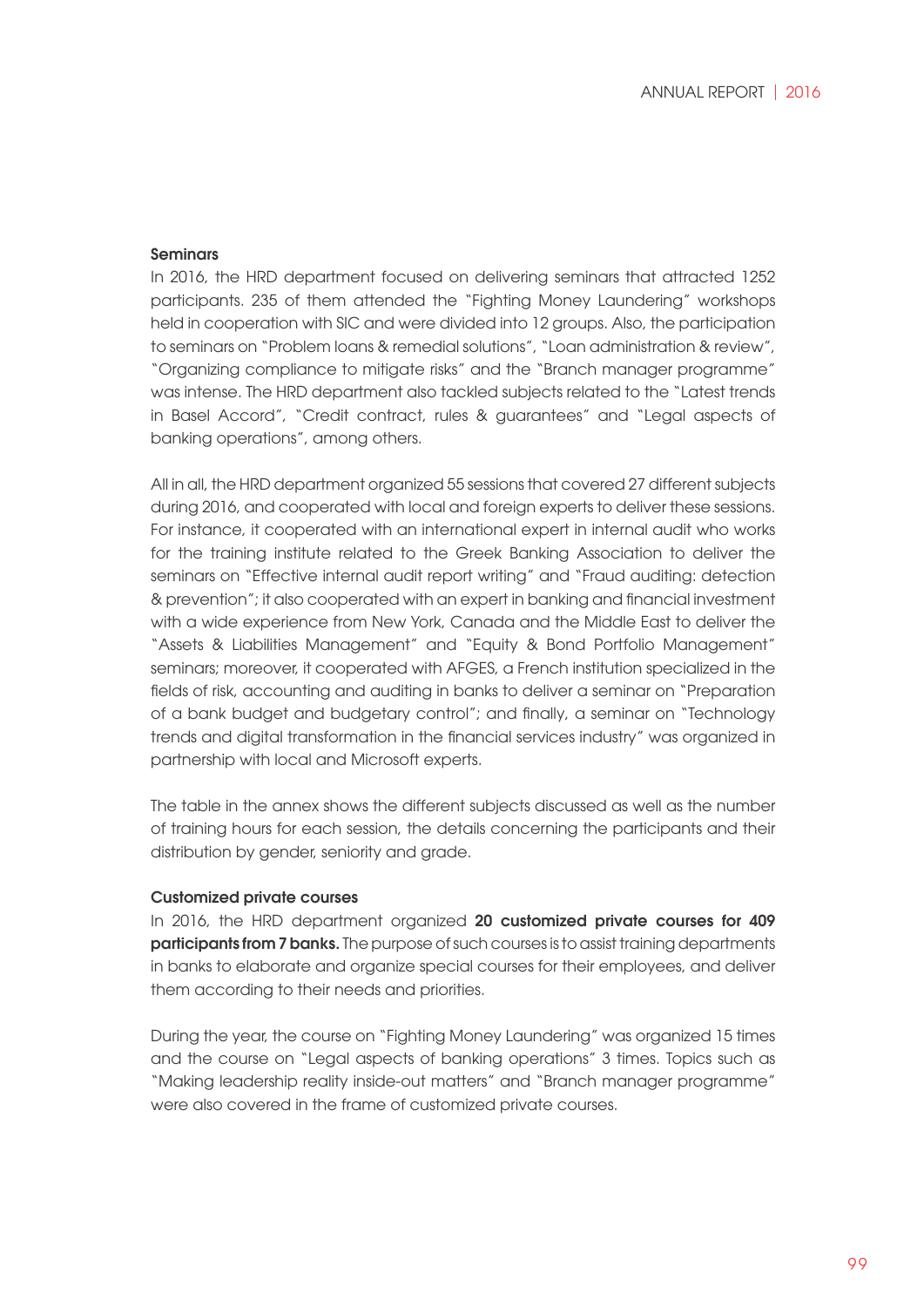#### Seminars

In 2016, the HRD department focused on delivering seminars that attracted 1252 participants. 235 of them attended the "Fighting Money Laundering" workshops held in cooperation with SIC and were divided into 12 groups. Also, the participation to seminars on "Problem loans & remedial solutions", "Loan administration & review", "Organizing compliance to mitigate risks" and the "Branch manager programme" was intense. The HRD department also tackled subjects related to the "Latest trends in Basel Accord", "Credit contract, rules & guarantees" and "Legal aspects of banking operations", among others.

All in all, the HRD department organized 55 sessions that covered 27 different subjects during 2016, and cooperated with local and foreign experts to deliver these sessions. For instance, it cooperated with an international expert in internal audit who works for the training institute related to the Greek Banking Association to deliver the seminars on "Effective internal audit report writing" and "Fraud auditing: detection & prevention"; it also cooperated with an expert in banking and financial investment with a wide experience from New York, Canada and the Middle East to deliver the "Assets & Liabilities Management" and "Equity & Bond Portfolio Management" seminars; moreover, it cooperated with AFGES, a French institution specialized in the fields of risk, accounting and auditing in banks to deliver a seminar on "Preparation of a bank budget and budgetary control"; and finally, a seminar on "Technology trends and digital transformation in the financial services industry" was organized in partnership with local and Microsoft experts.

The table in the annex shows the different subjects discussed as well as the number of training hours for each session, the details concerning the participants and their distribution by gender, seniority and grade.

#### Customized private courses

In 2016, the HRD department organized 20 customized private courses for 409 participants from 7 banks. The purpose of such courses is to assist training departments in banks to elaborate and organize special courses for their employees, and deliver them according to their needs and priorities.

During the year, the course on "Fighting Money Laundering" was organized 15 times and the course on "Legal aspects of banking operations" 3 times. Topics such as "Making leadership reality inside-out matters" and "Branch manager programme" were also covered in the frame of customized private courses.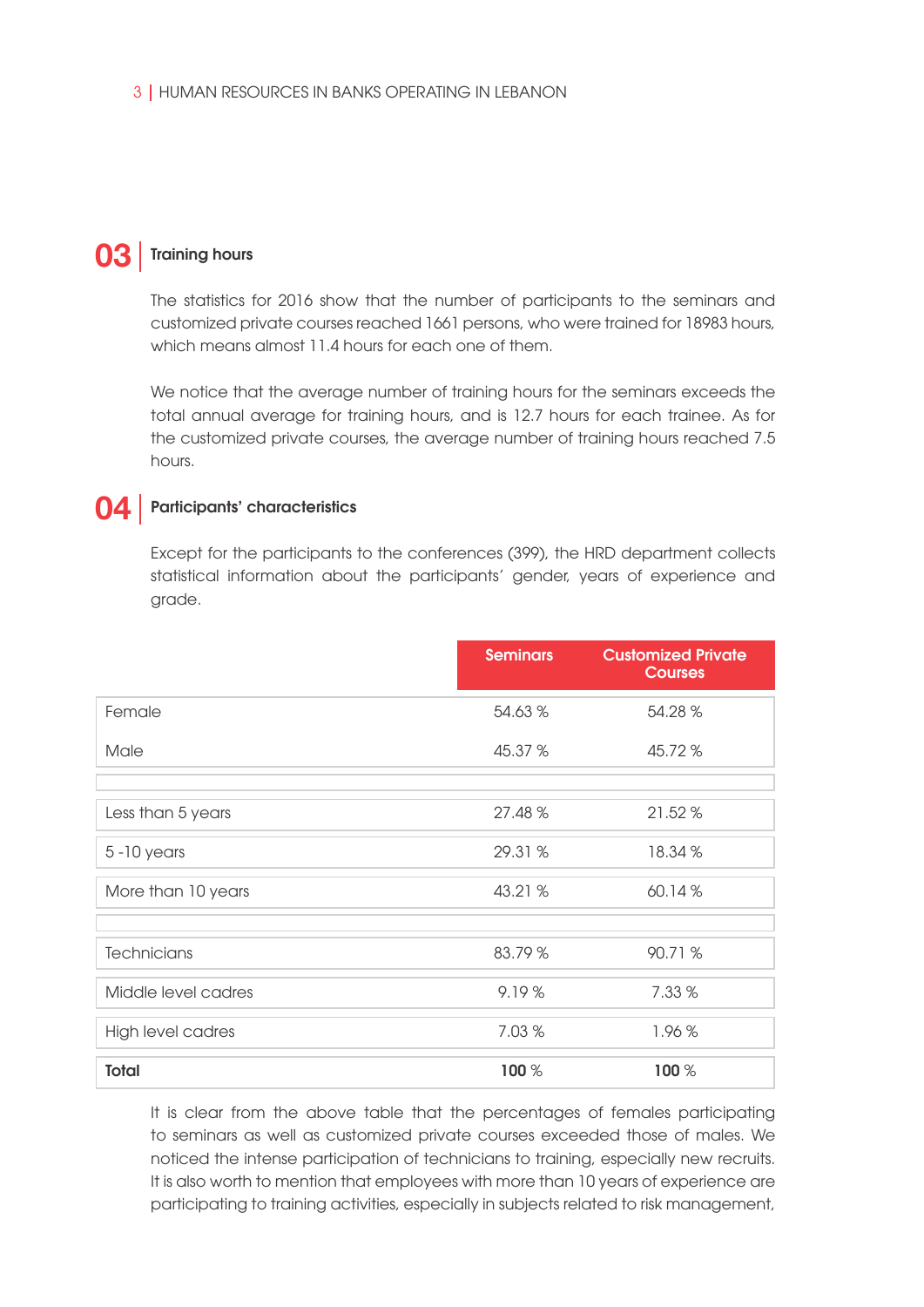# **03** Training hours

The statistics for 2016 show that the number of participants to the seminars and customized private courses reached 1661 persons, who were trained for 18983 hours, which means almost 11.4 hours for each one of them.

We notice that the average number of training hours for the seminars exceeds the total annual average for training hours, and is 12.7 hours for each trainee. As for the customized private courses, the average number of training hours reached 7.5 hours.

# **04** Participants' characteristics

Except for the participants to the conferences (399), the HRD department collects statistical information about the participants' gender, years of experience and grade.

|                     | <b>Seminars</b> | <b>Customized Private</b><br><b>Courses</b> |
|---------------------|-----------------|---------------------------------------------|
| Female              | 54.63 %         | 54.28 %                                     |
| Male                | 45.37 %         | 45.72 %                                     |
|                     |                 |                                             |
| Less than 5 years   | 27.48 %         | 21.52 %                                     |
| $5 - 10$ years      | 29.31 %         | 18.34 %                                     |
| More than 10 years  | 43.21 %         | 60.14%                                      |
|                     |                 |                                             |
| Technicians         | 83.79 %         | 90.71 %                                     |
| Middle level cadres | 9.19%           | 7.33 %                                      |
| High level cadres   | 7.03 %          | 1.96%                                       |
| <b>Total</b>        | 100 %           | 100 %                                       |

It is clear from the above table that the percentages of females participating to seminars as well as customized private courses exceeded those of males. We noticed the intense participation of technicians to training, especially new recruits. It is also worth to mention that employees with more than 10 years of experience are participating to training activities, especially in subjects related to risk management,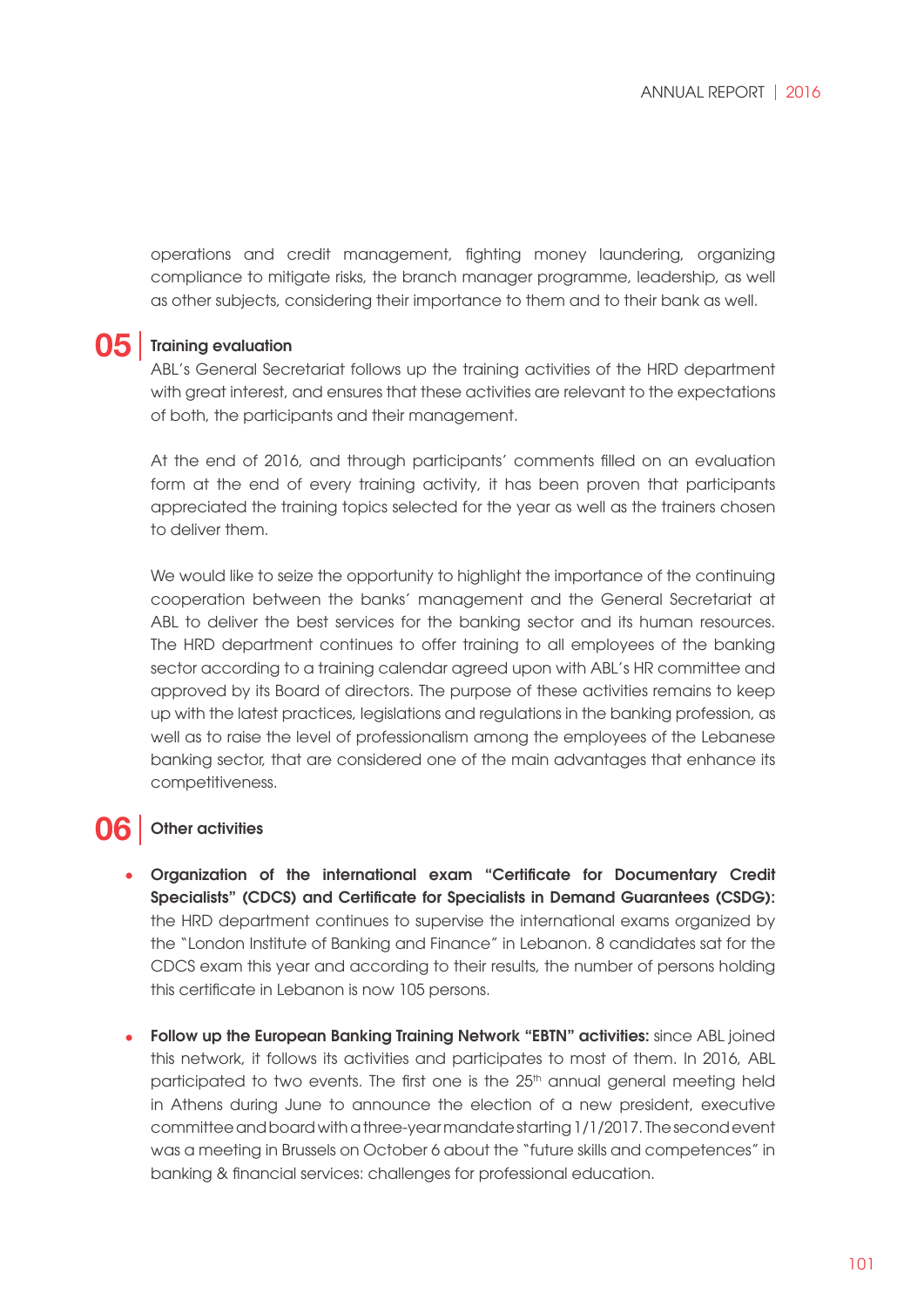operations and credit management, fighting money laundering, organizing compliance to mitigate risks, the branch manager programme, leadership, as well as other subjects, considering their importance to them and to their bank as well.

# **05** Training evaluation

ABL's General Secretariat follows up the training activities of the HRD department with great interest, and ensures that these activities are relevant to the expectations of both, the participants and their management.

At the end of 2016, and through participants' comments filled on an evaluation form at the end of every training activity, it has been proven that participants appreciated the training topics selected for the year as well as the trainers chosen to deliver them.

We would like to seize the opportunity to highlight the importance of the continuing cooperation between the banks' management and the General Secretariat at ABL to deliver the best services for the banking sector and its human resources. The HRD department continues to offer training to all employees of the banking sector according to a training calendar agreed upon with ABL's HR committee and approved by its Board of directors. The purpose of these activities remains to keep up with the latest practices, legislations and regulations in the banking profession, as well as to raise the level of professionalism among the employees of the Lebanese banking sector, that are considered one of the main advantages that enhance its competitiveness.

# **06** | Other activities

- Organization of the international exam "Certificate for Documentary Credit **•** Specialists" (CDCS) and Certificate for Specialists in Demand Guarantees (CSDG): the HRD department continues to supervise the international exams organized by the "London Institute of Banking and Finance" in Lebanon. 8 candidates sat for the CDCS exam this year and according to their results, the number of persons holding this certificate in Lebanon is now 105 persons.
- Follow up the European Banking Training Network "EBTN" activities: since ABL joined **•**this network, it follows its activities and participates to most of them. In 2016, ABL participated to two events. The first one is the 25<sup>th</sup> annual general meeting held in Athens during June to announce the election of a new president, executive committee and board with a three-year mandate starting 1/1/2017. The second event was a meeting in Brussels on October 6 about the "future skills and competences" in banking & financial services: challenges for professional education.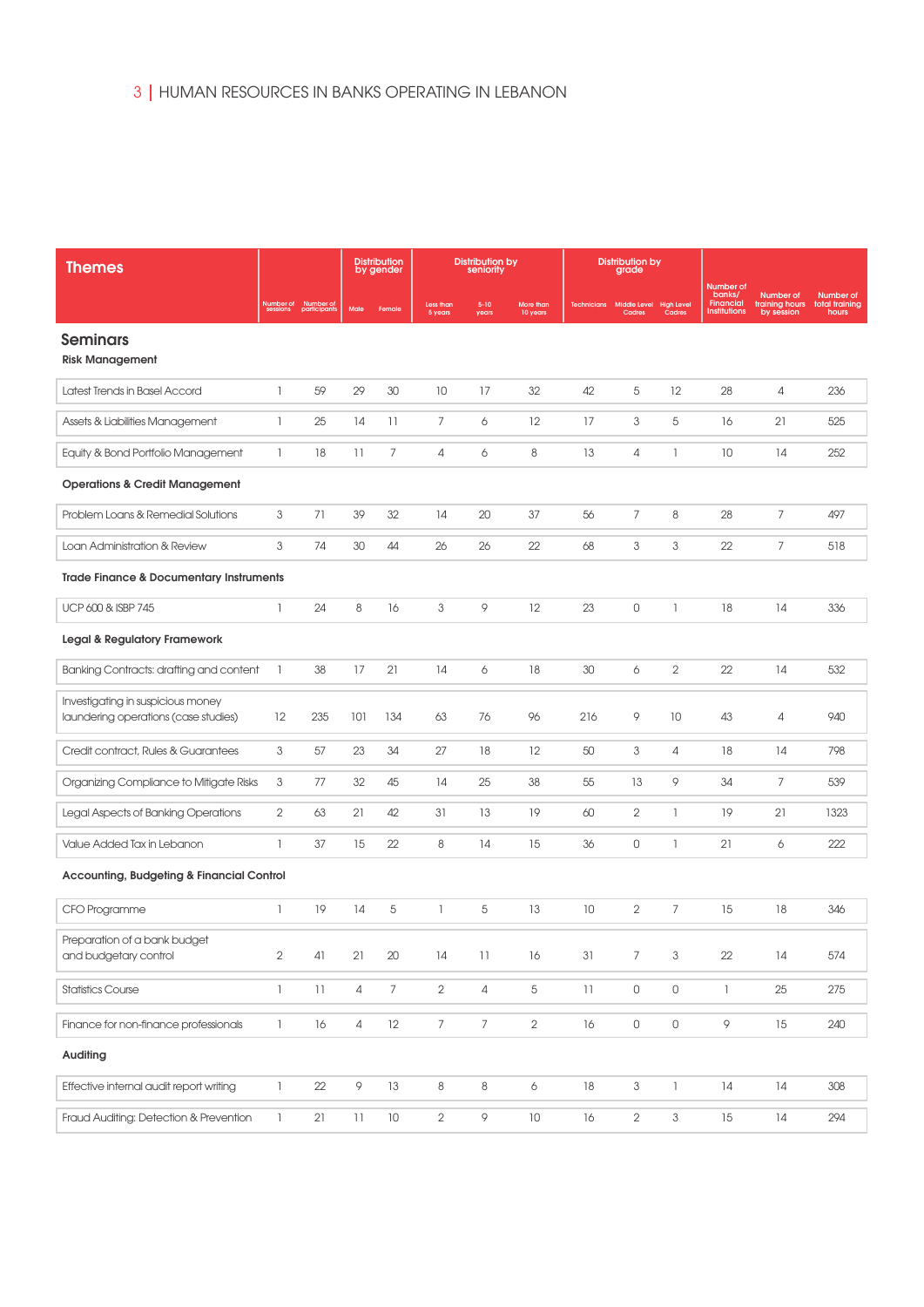| <b>Themes</b>                                                             |                                       |                           |                 | <b>Distribution</b><br>by gender |                      | <b>Distribution by</b><br>seniority |                       |                    | <b>Distribution by</b><br>grade   |                           |                                                         |                                           |                                      |
|---------------------------------------------------------------------------|---------------------------------------|---------------------------|-----------------|----------------------------------|----------------------|-------------------------------------|-----------------------|--------------------|-----------------------------------|---------------------------|---------------------------------------------------------|-------------------------------------------|--------------------------------------|
|                                                                           | Number of<br>sessions                 | Number of<br>participants | Male            | Female                           | Less than<br>5 years | $5 - 10$<br>years                   | More than<br>10 years | <b>Technicians</b> | Middle Level High Level<br>Cadres | Cadres                    | Number of<br>banks/<br><b>Financial</b><br>Institutions | Number of<br>training hours<br>by session | Number of<br>total training<br>hours |
| <b>Seminars</b><br><b>Risk Management</b>                                 |                                       |                           |                 |                                  |                      |                                     |                       |                    |                                   |                           |                                                         |                                           |                                      |
| Latest Trends in Basel Accord                                             | $\mathbb{I}$                          | 59                        | 29              | 30                               | 10                   | 17                                  | 32                    | 42                 | 5                                 | 12                        | 28                                                      | 4                                         | 236                                  |
| Assets & Liabilities Management                                           | -1                                    | 25                        | 14              | 11                               | 7                    | 6                                   | 12                    | 17                 | 3                                 | 5                         | 16                                                      | 21                                        | 525                                  |
| Equity & Bond Portfolio Management                                        | $\mathbb{I}$                          | 18                        | $\overline{11}$ | $\overline{7}$                   | $\overline{4}$       | 6                                   | 8                     | 13                 | 4                                 | $\overline{\phantom{a}}$  | 10                                                      | 14                                        | 252                                  |
| <b>Operations &amp; Credit Management</b>                                 |                                       |                           |                 |                                  |                      |                                     |                       |                    |                                   |                           |                                                         |                                           |                                      |
| Problem Loans & Remedial Solutions                                        | 3                                     | 71                        | 39              | 32                               | 14                   | 20                                  | 37                    | 56                 | 7                                 | 8                         | 28                                                      | 7                                         | 497                                  |
| Loan Administration & Review                                              | 3                                     | 74                        | 30              | 44                               | 26                   | 26                                  | 22                    | 68                 | 3                                 | $\ensuremath{\mathsf{3}}$ | 22                                                      | $\overline{7}$                            | 518                                  |
| <b>Trade Finance &amp; Documentary Instruments</b>                        |                                       |                           |                 |                                  |                      |                                     |                       |                    |                                   |                           |                                                         |                                           |                                      |
| UCP 600 & ISBP 745                                                        | $\mathbb{I}$                          | 24                        | 8               | 16                               | 3                    | 9                                   | 12                    | 23                 | $\mathsf{O}$                      | $\mathbb{I}$              | 18                                                      | 14                                        | 336                                  |
| Legal & Regulatory Framework                                              |                                       |                           |                 |                                  |                      |                                     |                       |                    |                                   |                           |                                                         |                                           |                                      |
| Banking Contracts: drafting and content                                   | $\mathbb{I}$                          | 38                        | 17              | 21                               | 14                   | 6                                   | 18                    | 30                 | 6                                 | $\mathbf{2}$              | 22                                                      | 14                                        | 532                                  |
| Investigating in suspicious money<br>laundering operations (case studies) | 12                                    | 235                       | 101             | 134                              | 63                   | 76                                  | 96                    | 216                | 9                                 | 10                        | 43                                                      | 4                                         | 940                                  |
| Credit contract, Rules & Guarantees                                       | 3                                     | 57                        | 23              | 34                               | 27                   | 18                                  | 12                    | 50                 | 3                                 | $\overline{4}$            | 18                                                      | 14                                        | 798                                  |
| Organizing Compliance to Mitigate Risks                                   | 3                                     | 77                        | 32              | 45                               | 14                   | 25                                  | 38                    | 55                 | 13                                | 9                         | 34                                                      | 7                                         | 539                                  |
| Legal Aspects of Banking Operations                                       | $\mathbf{2}$                          | 63                        | 21              | 42                               | 31                   | 13                                  | 19                    | 60                 | 2                                 | $\mathbb{I}$              | 19                                                      | 21                                        | 1323                                 |
| Value Added Tax in Lebanon                                                | $\mathbf{1}$                          | 37                        | 15              | 22                               | 8                    | 14                                  | 15                    | 36                 | $\mathsf O$                       | $\mathbf{1}$              | 21                                                      | 6                                         | 222                                  |
| <b>Accounting, Budgeting &amp; Financial Control</b>                      |                                       |                           |                 |                                  |                      |                                     |                       |                    |                                   |                           |                                                         |                                           |                                      |
| CFO Programme                                                             | 1                                     | 19                        | 14              | 5                                | $\mathbf{1}$         | 5                                   | 13                    | 10                 | $\overline{2}$                    | $\overline{7}$            | 15                                                      | 18                                        | 346                                  |
| Preparation of a bank budget<br>and budgetary control                     | $\overline{2}$                        | 41                        | 21              | 20                               | 14                   | 11                                  | 16                    | 31                 | 7                                 | 3                         | 22                                                      | 14                                        | 574                                  |
| <b>Statistics Course</b>                                                  | $\mathbb{I}$                          | 11                        | $\overline{4}$  | $7^{\circ}$                      | $\overline{2}$       | $\overline{4}$                      | 5                     | 11                 | $\circ$                           | $\mathsf O$               | $\mathbb{I}$                                            | 25                                        | 275                                  |
| Finance for non-finance professionals                                     | $\begin{array}{c} \hline \end{array}$ | $16\,$                    | $\overline{4}$  | 12                               | $\overline{7}$       | $\overline{7}$                      | $\mathbf{2}$          | 16                 | $\mathsf{O}$                      | $\mathsf{O}$              | 9                                                       | 15                                        | 240                                  |
| Auditing                                                                  |                                       |                           |                 |                                  |                      |                                     |                       |                    |                                   |                           |                                                         |                                           |                                      |
| Effective internal audit report writing                                   | $\mathbb{I}$                          | 22                        | 9               | 13                               | $\,8\,$              | $\,8\,$                             | 6                     | 18                 | 3                                 | $\mathbb{I}$              | 14                                                      | 14                                        | 308                                  |
| Fraud Auditing: Detection & Prevention                                    | $\mathbb{I}$                          | 21                        | $\overline{11}$ | $10\,$                           | $\overline{2}$       | 9                                   | 10                    | 16                 | $\overline{2}$                    | $\mathfrak{S}$            | 15                                                      | 14                                        | 294                                  |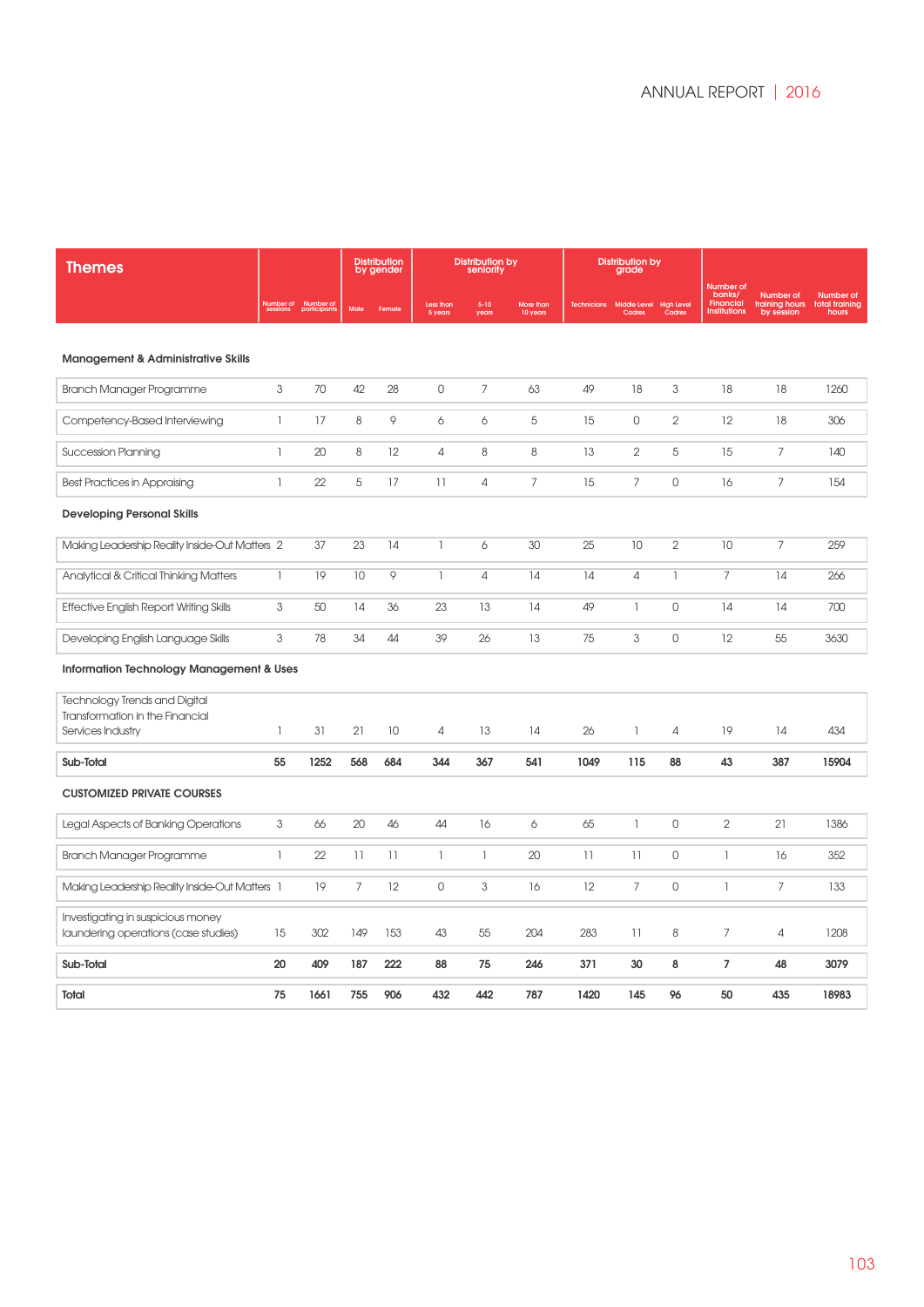| <b>Themes</b>                                                             |                           |                           |                | <b>Distribution</b><br>by gender |                      | <b>Distribution by</b><br>seniority |                       |                   | <b>Distribution by</b><br>grade |                             |                                                                |                                                  |                                      |
|---------------------------------------------------------------------------|---------------------------|---------------------------|----------------|----------------------------------|----------------------|-------------------------------------|-----------------------|-------------------|---------------------------------|-----------------------------|----------------------------------------------------------------|--------------------------------------------------|--------------------------------------|
|                                                                           | Number of<br>sessions     | Number of<br>participants | Male           | Female                           | Less than<br>5 years | $5 - 10$<br>years                   | More than<br>10 years | <b>Technician</b> | Middle Level<br>Cadres          | <b>High Level</b><br>Cadres | Number of<br>banks/<br><b>Financial</b><br><b>Institutions</b> | <b>Number</b> of<br>training hours<br>by session | Number of<br>total training<br>hours |
| <b>Management &amp; Administrative Skills</b>                             |                           |                           |                |                                  |                      |                                     |                       |                   |                                 |                             |                                                                |                                                  |                                      |
|                                                                           |                           |                           |                |                                  |                      |                                     |                       |                   |                                 |                             |                                                                |                                                  |                                      |
| Branch Manager Programme                                                  | 3                         | 70                        | 42             | 28                               | $\mathsf{O}$         | 7                                   | 63                    | 49                | 18                              | 3                           | 18                                                             | 18                                               | 1260                                 |
| Competency-Based Interviewing                                             | $\mathbb{I}$              | 17                        | 8              | 9                                | 6                    | 6                                   | 5                     | 15                | $\mathbf 0$                     | $\overline{2}$              | 12                                                             | 18                                               | 306                                  |
| <b>Succession Planning</b>                                                | $\mathbb{I}$              | 20                        | 8              | $12 \,$                          | $\overline{4}$       | 8                                   | 8                     | 13                | $\overline{2}$                  | 5                           | 15                                                             | 7                                                | 140                                  |
| Best Practices in Appraising                                              | 1                         | 22                        | 5              | 17                               | $\overline{11}$      | $\overline{4}$                      | $\overline{7}$        | 15                | $\overline{7}$                  | $\circ$                     | 16                                                             | $\overline{7}$                                   | 154                                  |
| <b>Developing Personal Skills</b>                                         |                           |                           |                |                                  |                      |                                     |                       |                   |                                 |                             |                                                                |                                                  |                                      |
| Making Leadership Reality Inside-Out Matters 2                            |                           | 37                        | 23             | 14                               | $\mathbb{I}$         | 6                                   | 30                    | 25                | 10                              | $\overline{2}$              | 10                                                             | $\overline{7}$                                   | 259                                  |
| Analytical & Critical Thinking Matters                                    | $\overline{\phantom{a}}$  | 19                        | 10             | 9                                | 1                    | $\overline{4}$                      | 14                    | 14                | $\sqrt{4}$                      | 1                           | $\overline{7}$                                                 | 14                                               | 266                                  |
| Effective English Report Writing Skills                                   | $\ensuremath{\mathsf{3}}$ | 50                        | 14             | 36                               | 23                   | 13                                  | 14                    | 49                | $\mathbb{I}$                    | $\overline{0}$              | 14                                                             | 14                                               | 700                                  |
| Developing English Language Skills                                        | 3                         | 78                        | 34             | 44                               | 39                   | 26                                  | 13                    | 75                | 3                               | 0                           | 12                                                             | 55                                               | 3630                                 |
| Information Technology Management & Uses                                  |                           |                           |                |                                  |                      |                                     |                       |                   |                                 |                             |                                                                |                                                  |                                      |
| Technology Trends and Digital                                             |                           |                           |                |                                  |                      |                                     |                       |                   |                                 |                             |                                                                |                                                  |                                      |
| Transformation in the Financial                                           |                           |                           |                |                                  |                      |                                     |                       |                   |                                 |                             |                                                                |                                                  |                                      |
| Services Industry                                                         | $\mathbb{I}$              | 31                        | 21             | 10                               | 4                    | 13                                  | 14                    | 26                | -1                              | 4                           | 19                                                             | 14                                               | 434                                  |
| Sub-Total                                                                 | 55                        | 1252                      | 568            | 684                              | 344                  | 367                                 | 541                   | 1049              | 115                             | 88                          | 43                                                             | 387                                              | 15904                                |
| <b>CUSTOMIZED PRIVATE COURSES</b>                                         |                           |                           |                |                                  |                      |                                     |                       |                   |                                 |                             |                                                                |                                                  |                                      |
| Legal Aspects of Banking Operations                                       | 3                         | 66                        | 20             | 46                               | 44                   | 16                                  | 6                     | 65                | $\mathbf{1}$                    | $\mathbf 0$                 | $\overline{2}$                                                 | 21                                               | 1386                                 |
| Branch Manager Programme                                                  | $\mathbf{1}$              | 22                        | 11             | 11                               | $\mathbb{I}$         | $\mathbb{I}$                        | 20                    | $\overline{11}$   | 11                              | $\mathbf 0$                 | 1                                                              | 16                                               | 352                                  |
| Making Leadership Reality Inside-Out Matters 1                            |                           | 19                        | $\overline{7}$ | 12                               | $\mathbb O$          | 3                                   | 16                    | 12                | $\overline{7}$                  | $\mathbb O$                 | $\mathbb{I}$                                                   | $\overline{7}$                                   | 133                                  |
| Investigating in suspicious money<br>laundering operations (case studies) | 15                        | 302                       | 149            | 153                              | 43                   | 55                                  | 204                   | 283               | 11                              | 8                           | 7                                                              | 4                                                | 1208                                 |
| Sub-Total                                                                 | 20                        | 409                       | 187            | 222                              | 88                   | 75                                  | 246                   | 371               | 30                              | 8                           | $\overline{7}$                                                 | 48                                               | 3079                                 |
| Total                                                                     | 75                        | 1661                      | 755            | 906                              | 432                  | 442                                 | 787                   | 1420              | 145                             | 96                          | 50                                                             | 435                                              | 18983                                |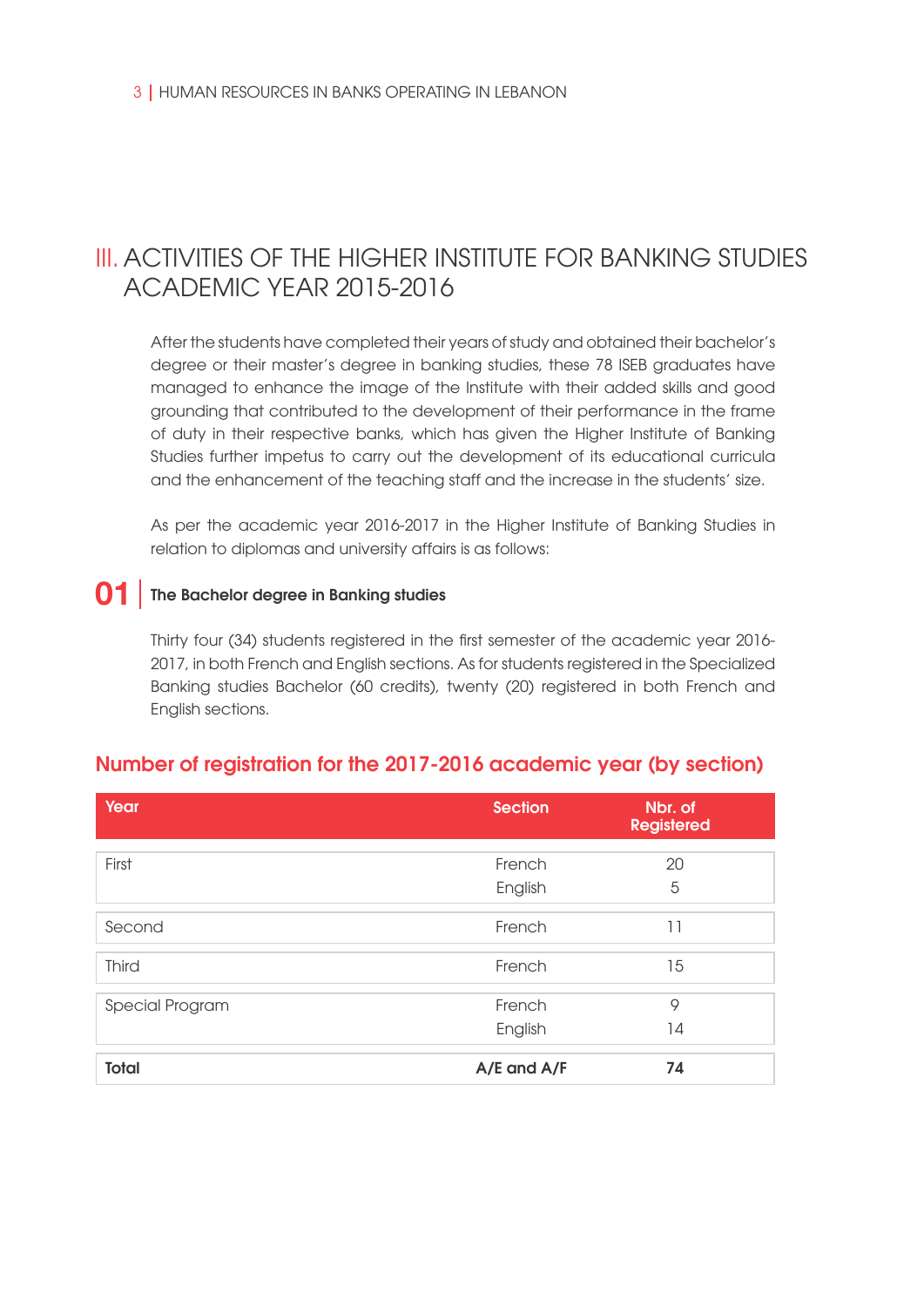# III. ACTIVITIES OF THE HIGHER INSTITUTE FOR BANKING STUDIES ACADEMIC YEAR 2015-2016

After the students have completed their years of study and obtained their bachelor's degree or their master's degree in banking studies, these 78 ISEB graduates have managed to enhance the image of the Institute with their added skills and good grounding that contributed to the development of their performance in the frame of duty in their respective banks, which has given the Higher Institute of Banking Studies further impetus to carry out the development of its educational curricula and the enhancement of the teaching staff and the increase in the students' size.

As per the academic year 2016-2017 in the Higher Institute of Banking Studies in relation to diplomas and university affairs is as follows:

# **01** The Bachelor degree in Banking studies

Thirty four (34) students registered in the first semester of the academic year 2016- 2017, in both French and English sections. As for students registered in the Specialized Banking studies Bachelor (60 credits), twenty (20) registered in both French and English sections.

| Year            | <b>Section</b> | Nbr. of<br><b>Registered</b> |
|-----------------|----------------|------------------------------|
| First           | French         | 20                           |
|                 | English        | 5                            |
| Second          | French         | 11                           |
| <b>Third</b>    | French         | 15                           |
| Special Program | French         | 9                            |
|                 | English        | 14                           |
| <b>Total</b>    | A/E and A/F    | 74                           |

### Number of registration for the 2017-2016 academic year (by section)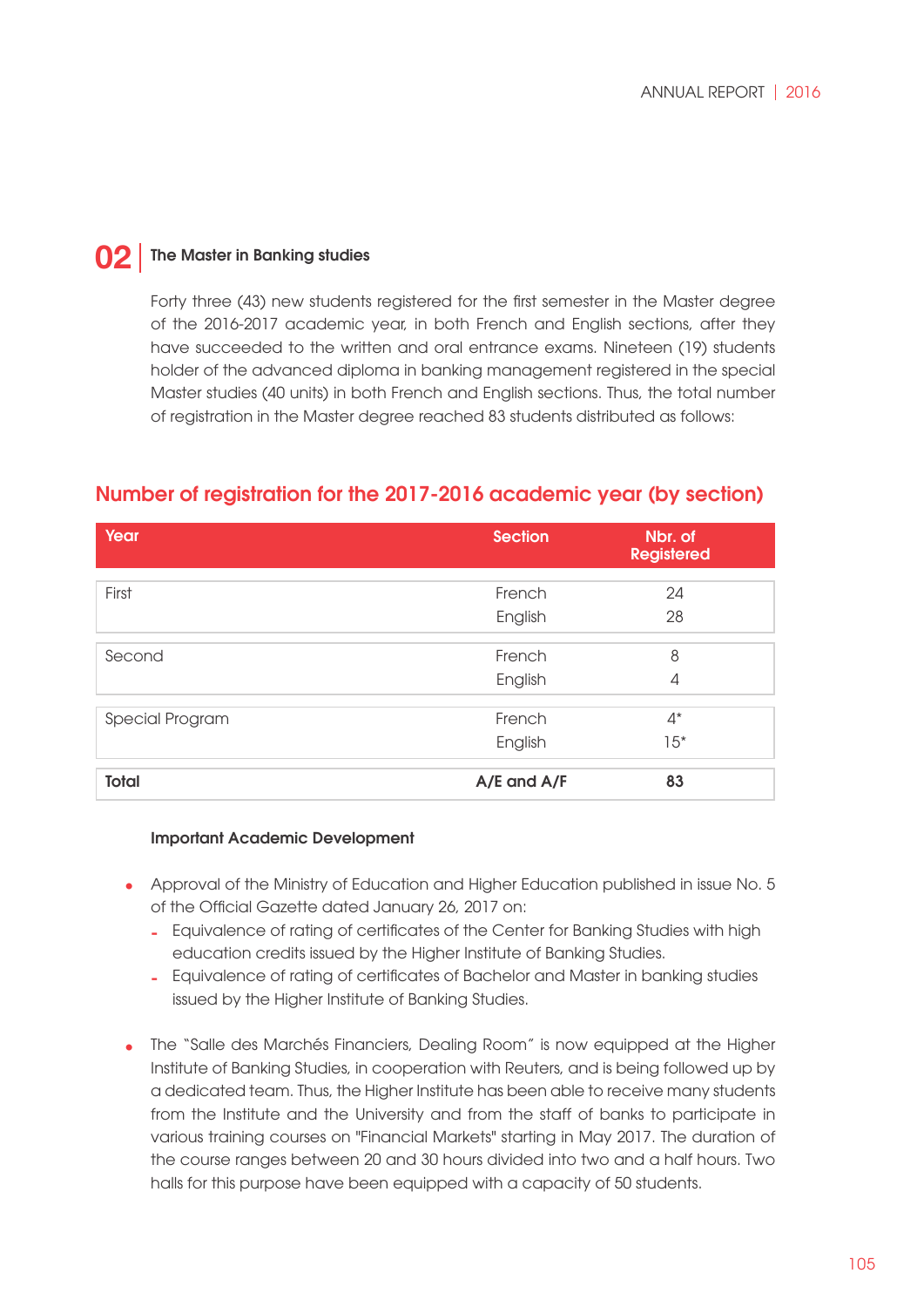#### The Master in Banking studies **02**

Forty three (43) new students registered for the first semester in the Master degree of the 2016-2017 academic year, in both French and English sections, after they have succeeded to the written and oral entrance exams. Nineteen (19) students holder of the advanced diploma in banking management registered in the special Master studies (40 units) in both French and English sections. Thus, the total number of registration in the Master degree reached 83 students distributed as follows:

### Number of registration for the 2017-2016 academic year (by section)

| Year            | <b>Section</b> | Nbr. of<br><b>Registered</b> |
|-----------------|----------------|------------------------------|
| First           | French         | 24                           |
|                 | English        | 28                           |
| Second          | French         | 8                            |
|                 | English        | 4                            |
| Special Program | French         | $4^*$                        |
|                 | English        | $15*$                        |
| <b>Total</b>    | A/E and A/F    | 83                           |

### Important Academic Development

- Approval of the Ministry of Education and Higher Education published in issue No. 5 **•** of the Official Gazette dated January 26, 2017 on:
	- Equivalence of rating of certificates of the Center for Banking Studies with high  education credits issued by the Higher Institute of Banking Studies.
	- Equivalence of rating of certificates of Bachelor and Master in banking studies  issued by the Higher Institute of Banking Studies.
- The "Salle des Marchés Financiers, Dealing Room" is now equipped at the Higher **•**Institute of Banking Studies, in cooperation with Reuters, and is being followed up by a dedicated team. Thus, the Higher Institute has been able to receive many students from the Institute and the University and from the staff of banks to participate in various training courses on "Financial Markets" starting in May 2017. The duration of the course ranges between 20 and 30 hours divided into two and a half hours. Two halls for this purpose have been equipped with a capacity of 50 students.